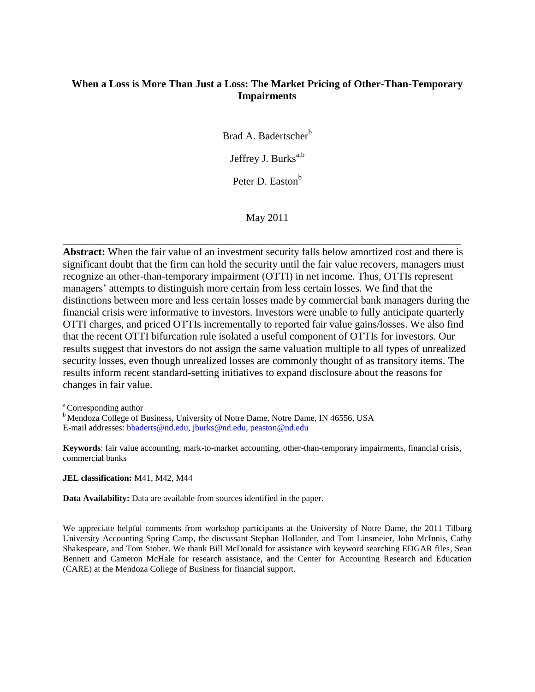# **When a Loss is More Than Just a Loss: The Market Pricing of Other-Than-Temporary Impairments**

Brad A. Badertscher<sup>b</sup>

Jeffrey J. Burks<sup>a.b</sup>

Peter D. Easton<sup>b</sup>

May 2011

\_\_\_\_\_\_\_\_\_\_\_\_\_\_\_\_\_\_\_\_\_\_\_\_\_\_\_\_\_\_\_\_\_\_\_\_\_\_\_\_\_\_\_\_\_\_\_\_\_\_\_\_\_\_\_\_\_\_\_\_\_\_\_\_\_\_\_\_\_\_\_\_\_\_\_\_

**Abstract:** When the fair value of an investment security falls below amortized cost and there is significant doubt that the firm can hold the security until the fair value recovers, managers must recognize an other-than-temporary impairment (OTTI) in net income. Thus, OTTIs represent managers' attempts to distinguish more certain from less certain losses. We find that the distinctions between more and less certain losses made by commercial bank managers during the financial crisis were informative to investors. Investors were unable to fully anticipate quarterly OTTI charges, and priced OTTIs incrementally to reported fair value gains/losses. We also find that the recent OTTI bifurcation rule isolated a useful component of OTTIs for investors. Our results suggest that investors do not assign the same valuation multiple to all types of unrealized security losses, even though unrealized losses are commonly thought of as transitory items. The results inform recent standard-setting initiatives to expand disclosure about the reasons for changes in fair value.

<sup>a</sup> Corresponding author

<sup>b</sup> Mendoza College of Business, University of Notre Dame, Notre Dame, IN 46556, USA E-mail addresses: [bbaderts@nd.edu,](mailto:bbaderts@nd.edu) [jburks@nd.edu,](mailto:jburks@nd.edu) [peaston@nd.edu](mailto:peaston@nd.edu)

**Keywords**: fair value accounting, mark-to-market accounting, other-than-temporary impairments, financial crisis, commercial banks

**JEL classification:** M41, M42, M44

**Data Availability:** Data are available from sources identified in the paper.

We appreciate helpful comments from workshop participants at the University of Notre Dame, the 2011 Tilburg University Accounting Spring Camp, the discussant Stephan Hollander, and Tom Linsmeier, John McInnis, Cathy Shakespeare, and Tom Stober. We thank Bill McDonald for assistance with keyword searching EDGAR files, Sean Bennett and Cameron McHale for research assistance, and the Center for Accounting Research and Education (CARE) at the Mendoza College of Business for financial support.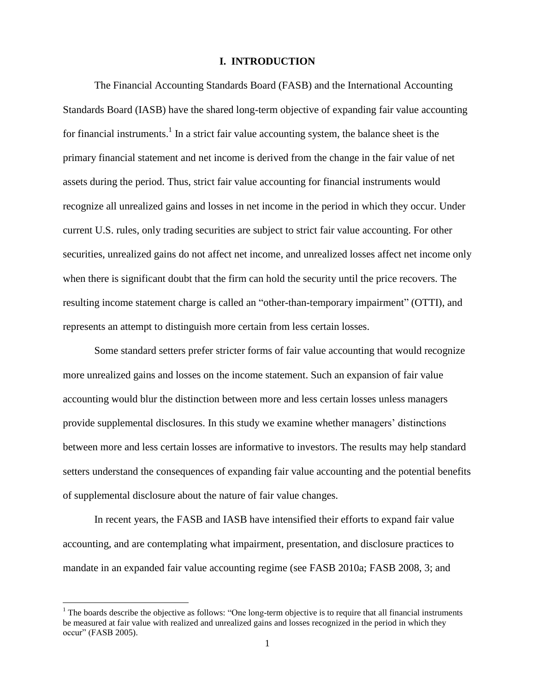### **I. INTRODUCTION**

The Financial Accounting Standards Board (FASB) and the International Accounting Standards Board (IASB) have the shared long-term objective of expanding fair value accounting for financial instruments.<sup>1</sup> In a strict fair value accounting system, the balance sheet is the primary financial statement and net income is derived from the change in the fair value of net assets during the period. Thus, strict fair value accounting for financial instruments would recognize all unrealized gains and losses in net income in the period in which they occur. Under current U.S. rules, only trading securities are subject to strict fair value accounting. For other securities, unrealized gains do not affect net income, and unrealized losses affect net income only when there is significant doubt that the firm can hold the security until the price recovers. The resulting income statement charge is called an "other-than-temporary impairment" (OTTI), and represents an attempt to distinguish more certain from less certain losses.

Some standard setters prefer stricter forms of fair value accounting that would recognize more unrealized gains and losses on the income statement. Such an expansion of fair value accounting would blur the distinction between more and less certain losses unless managers provide supplemental disclosures. In this study we examine whether managers' distinctions between more and less certain losses are informative to investors. The results may help standard setters understand the consequences of expanding fair value accounting and the potential benefits of supplemental disclosure about the nature of fair value changes.

In recent years, the FASB and IASB have intensified their efforts to expand fair value accounting, and are contemplating what impairment, presentation, and disclosure practices to mandate in an expanded fair value accounting regime (see FASB 2010a; FASB 2008, 3; and

 $\overline{\phantom{a}}$ 

 $<sup>1</sup>$  The boards describe the objective as follows: "One long-term objective is to require that all financial instruments</sup> be measured at fair value with realized and unrealized gains and losses recognized in the period in which they occur" (FASB 2005).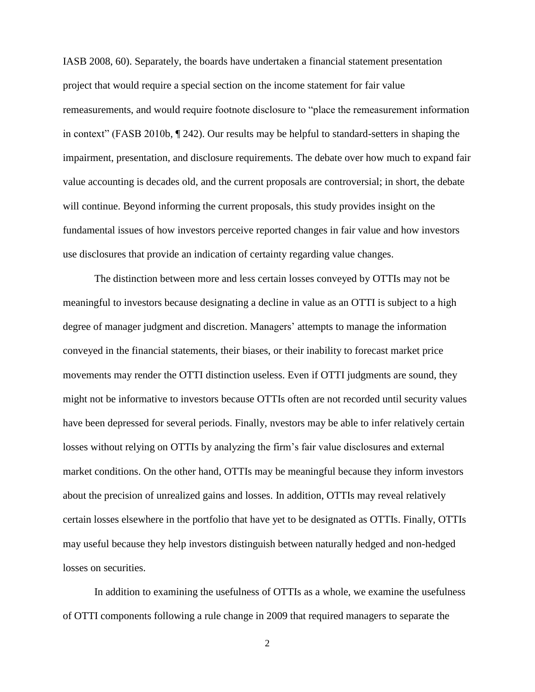IASB 2008, 60). Separately, the boards have undertaken a financial statement presentation project that would require a special section on the income statement for fair value remeasurements, and would require footnote disclosure to "place the remeasurement information in context" (FASB 2010b, ¶ 242). Our results may be helpful to standard-setters in shaping the impairment, presentation, and disclosure requirements. The debate over how much to expand fair value accounting is decades old, and the current proposals are controversial; in short, the debate will continue. Beyond informing the current proposals, this study provides insight on the fundamental issues of how investors perceive reported changes in fair value and how investors use disclosures that provide an indication of certainty regarding value changes.

The distinction between more and less certain losses conveyed by OTTIs may not be meaningful to investors because designating a decline in value as an OTTI is subject to a high degree of manager judgment and discretion. Managers' attempts to manage the information conveyed in the financial statements, their biases, or their inability to forecast market price movements may render the OTTI distinction useless. Even if OTTI judgments are sound, they might not be informative to investors because OTTIs often are not recorded until security values have been depressed for several periods. Finally, nvestors may be able to infer relatively certain losses without relying on OTTIs by analyzing the firm's fair value disclosures and external market conditions. On the other hand, OTTIs may be meaningful because they inform investors about the precision of unrealized gains and losses. In addition, OTTIs may reveal relatively certain losses elsewhere in the portfolio that have yet to be designated as OTTIs. Finally, OTTIs may useful because they help investors distinguish between naturally hedged and non-hedged losses on securities.

In addition to examining the usefulness of OTTIs as a whole, we examine the usefulness of OTTI components following a rule change in 2009 that required managers to separate the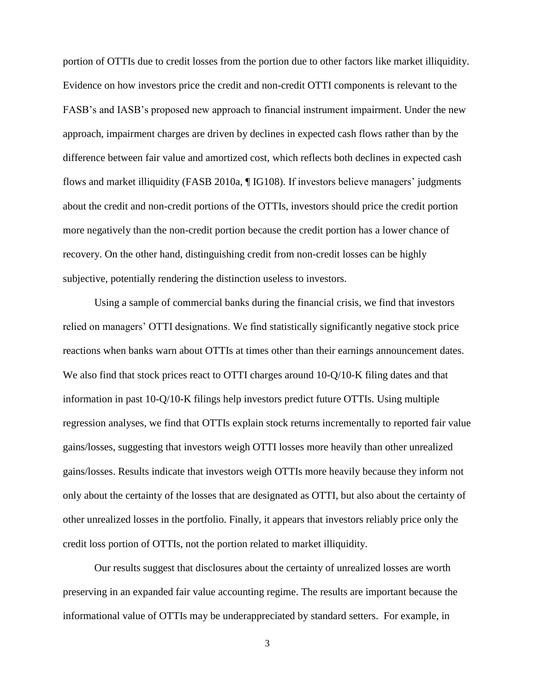portion of OTTIs due to credit losses from the portion due to other factors like market illiquidity. Evidence on how investors price the credit and non-credit OTTI components is relevant to the FASB's and IASB's proposed new approach to financial instrument impairment. Under the new approach, impairment charges are driven by declines in expected cash flows rather than by the difference between fair value and amortized cost, which reflects both declines in expected cash flows and market illiquidity (FASB 2010a, ¶ IG108). If investors believe managers' judgments about the credit and non-credit portions of the OTTIs, investors should price the credit portion more negatively than the non-credit portion because the credit portion has a lower chance of recovery. On the other hand, distinguishing credit from non-credit losses can be highly subjective, potentially rendering the distinction useless to investors.

Using a sample of commercial banks during the financial crisis, we find that investors relied on managers' OTTI designations. We find statistically significantly negative stock price reactions when banks warn about OTTIs at times other than their earnings announcement dates. We also find that stock prices react to OTTI charges around 10-Q/10-K filing dates and that information in past 10-Q/10-K filings help investors predict future OTTIs. Using multiple regression analyses, we find that OTTIs explain stock returns incrementally to reported fair value gains/losses, suggesting that investors weigh OTTI losses more heavily than other unrealized gains/losses. Results indicate that investors weigh OTTIs more heavily because they inform not only about the certainty of the losses that are designated as OTTI, but also about the certainty of other unrealized losses in the portfolio. Finally, it appears that investors reliably price only the credit loss portion of OTTIs, not the portion related to market illiquidity.

Our results suggest that disclosures about the certainty of unrealized losses are worth preserving in an expanded fair value accounting regime. The results are important because the informational value of OTTIs may be underappreciated by standard setters. For example, in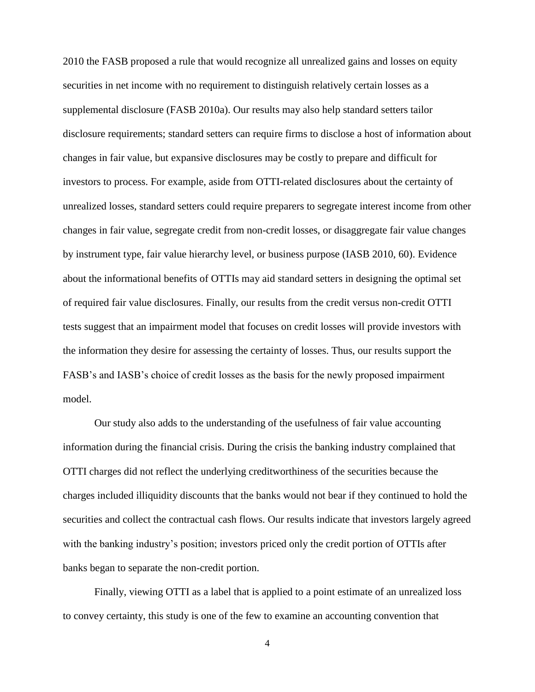2010 the FASB proposed a rule that would recognize all unrealized gains and losses on equity securities in net income with no requirement to distinguish relatively certain losses as a supplemental disclosure (FASB 2010a). Our results may also help standard setters tailor disclosure requirements; standard setters can require firms to disclose a host of information about changes in fair value, but expansive disclosures may be costly to prepare and difficult for investors to process. For example, aside from OTTI-related disclosures about the certainty of unrealized losses, standard setters could require preparers to segregate interest income from other changes in fair value, segregate credit from non-credit losses, or disaggregate fair value changes by instrument type, fair value hierarchy level, or business purpose (IASB 2010, 60). Evidence about the informational benefits of OTTIs may aid standard setters in designing the optimal set of required fair value disclosures. Finally, our results from the credit versus non-credit OTTI tests suggest that an impairment model that focuses on credit losses will provide investors with the information they desire for assessing the certainty of losses. Thus, our results support the FASB's and IASB's choice of credit losses as the basis for the newly proposed impairment model.

Our study also adds to the understanding of the usefulness of fair value accounting information during the financial crisis. During the crisis the banking industry complained that OTTI charges did not reflect the underlying creditworthiness of the securities because the charges included illiquidity discounts that the banks would not bear if they continued to hold the securities and collect the contractual cash flows. Our results indicate that investors largely agreed with the banking industry's position; investors priced only the credit portion of OTTIs after banks began to separate the non-credit portion.

Finally, viewing OTTI as a label that is applied to a point estimate of an unrealized loss to convey certainty, this study is one of the few to examine an accounting convention that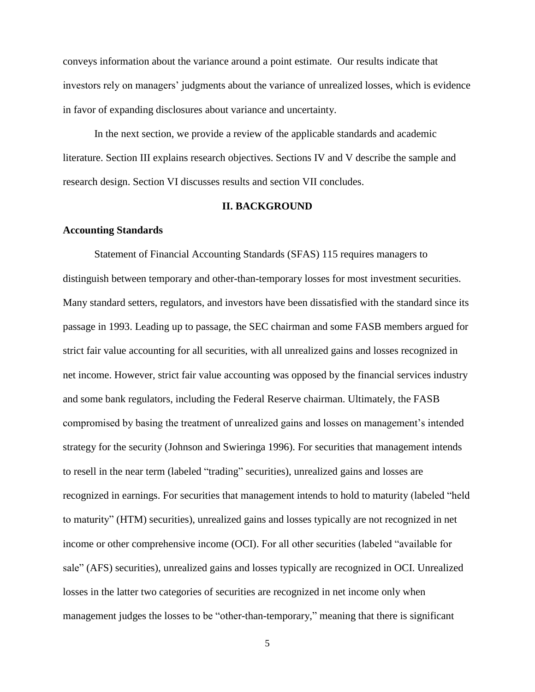conveys information about the variance around a point estimate. Our results indicate that investors rely on managers' judgments about the variance of unrealized losses, which is evidence in favor of expanding disclosures about variance and uncertainty.

In the next section, we provide a review of the applicable standards and academic literature. Section III explains research objectives. Sections IV and V describe the sample and research design. Section VI discusses results and section VII concludes.

# **II. BACKGROUND**

# **Accounting Standards**

Statement of Financial Accounting Standards (SFAS) 115 requires managers to distinguish between temporary and other-than-temporary losses for most investment securities. Many standard setters, regulators, and investors have been dissatisfied with the standard since its passage in 1993. Leading up to passage, the SEC chairman and some FASB members argued for strict fair value accounting for all securities, with all unrealized gains and losses recognized in net income. However, strict fair value accounting was opposed by the financial services industry and some bank regulators, including the Federal Reserve chairman. Ultimately, the FASB compromised by basing the treatment of unrealized gains and losses on management's intended strategy for the security (Johnson and Swieringa 1996). For securities that management intends to resell in the near term (labeled "trading" securities), unrealized gains and losses are recognized in earnings. For securities that management intends to hold to maturity (labeled "held to maturity" (HTM) securities), unrealized gains and losses typically are not recognized in net income or other comprehensive income (OCI). For all other securities (labeled "available for sale" (AFS) securities), unrealized gains and losses typically are recognized in OCI. Unrealized losses in the latter two categories of securities are recognized in net income only when management judges the losses to be "other-than-temporary," meaning that there is significant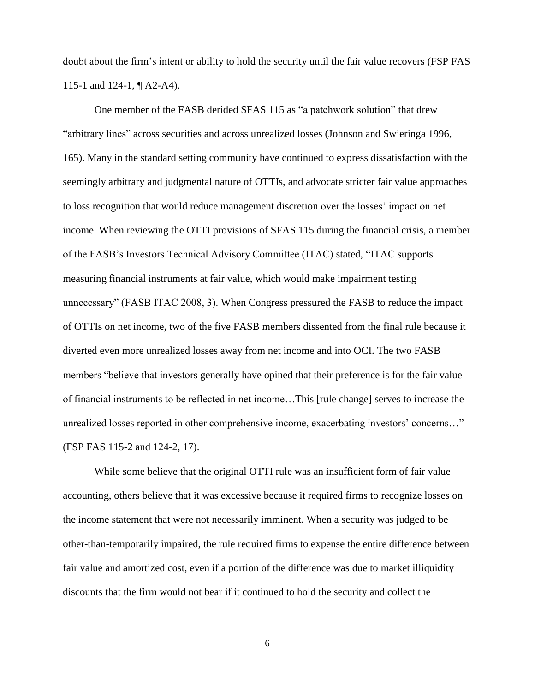doubt about the firm's intent or ability to hold the security until the fair value recovers (FSP FAS 115-1 and 124-1, ¶ A2-A4).

One member of the FASB derided SFAS 115 as "a patchwork solution" that drew "arbitrary lines" across securities and across unrealized losses (Johnson and Swieringa 1996, 165). Many in the standard setting community have continued to express dissatisfaction with the seemingly arbitrary and judgmental nature of OTTIs, and advocate stricter fair value approaches to loss recognition that would reduce management discretion over the losses' impact on net income. When reviewing the OTTI provisions of SFAS 115 during the financial crisis, a member of the FASB's Investors Technical Advisory Committee (ITAC) stated, "ITAC supports measuring financial instruments at fair value, which would make impairment testing unnecessary" (FASB ITAC 2008, 3). When Congress pressured the FASB to reduce the impact of OTTIs on net income, two of the five FASB members dissented from the final rule because it diverted even more unrealized losses away from net income and into OCI. The two FASB members "believe that investors generally have opined that their preference is for the fair value of financial instruments to be reflected in net income…This [rule change] serves to increase the unrealized losses reported in other comprehensive income, exacerbating investors' concerns…" (FSP FAS 115-2 and 124-2, 17).

While some believe that the original OTTI rule was an insufficient form of fair value accounting, others believe that it was excessive because it required firms to recognize losses on the income statement that were not necessarily imminent. When a security was judged to be other-than-temporarily impaired, the rule required firms to expense the entire difference between fair value and amortized cost, even if a portion of the difference was due to market illiquidity discounts that the firm would not bear if it continued to hold the security and collect the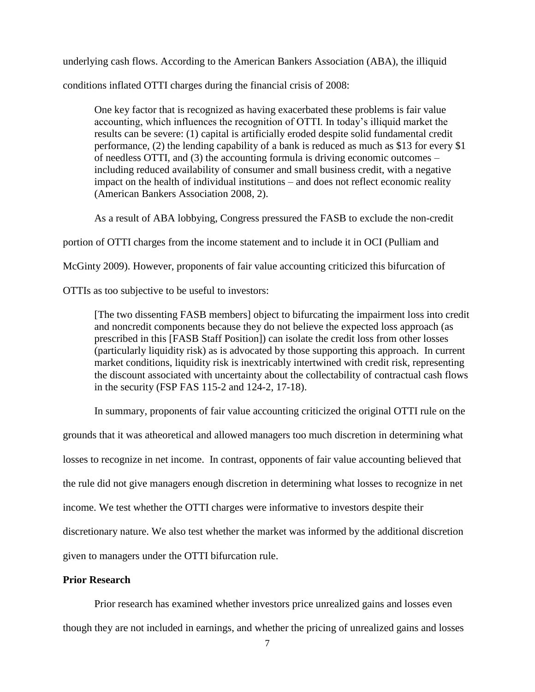underlying cash flows. According to the American Bankers Association (ABA), the illiquid

conditions inflated OTTI charges during the financial crisis of 2008:

One key factor that is recognized as having exacerbated these problems is fair value accounting, which influences the recognition of OTTI. In today's illiquid market the results can be severe: (1) capital is artificially eroded despite solid fundamental credit performance, (2) the lending capability of a bank is reduced as much as \$13 for every \$1 of needless OTTI, and (3) the accounting formula is driving economic outcomes – including reduced availability of consumer and small business credit, with a negative impact on the health of individual institutions – and does not reflect economic reality (American Bankers Association 2008, 2).

As a result of ABA lobbying, Congress pressured the FASB to exclude the non-credit

portion of OTTI charges from the income statement and to include it in OCI (Pulliam and

McGinty 2009). However, proponents of fair value accounting criticized this bifurcation of

OTTIs as too subjective to be useful to investors:

[The two dissenting FASB members] object to bifurcating the impairment loss into credit and noncredit components because they do not believe the expected loss approach (as prescribed in this [FASB Staff Position]) can isolate the credit loss from other losses (particularly liquidity risk) as is advocated by those supporting this approach. In current market conditions, liquidity risk is inextricably intertwined with credit risk, representing the discount associated with uncertainty about the collectability of contractual cash flows in the security (FSP FAS 115-2 and 124-2, 17-18).

In summary, proponents of fair value accounting criticized the original OTTI rule on the

grounds that it was atheoretical and allowed managers too much discretion in determining what

losses to recognize in net income. In contrast, opponents of fair value accounting believed that

the rule did not give managers enough discretion in determining what losses to recognize in net

income. We test whether the OTTI charges were informative to investors despite their

discretionary nature. We also test whether the market was informed by the additional discretion

given to managers under the OTTI bifurcation rule.

# **Prior Research**

Prior research has examined whether investors price unrealized gains and losses even

though they are not included in earnings, and whether the pricing of unrealized gains and losses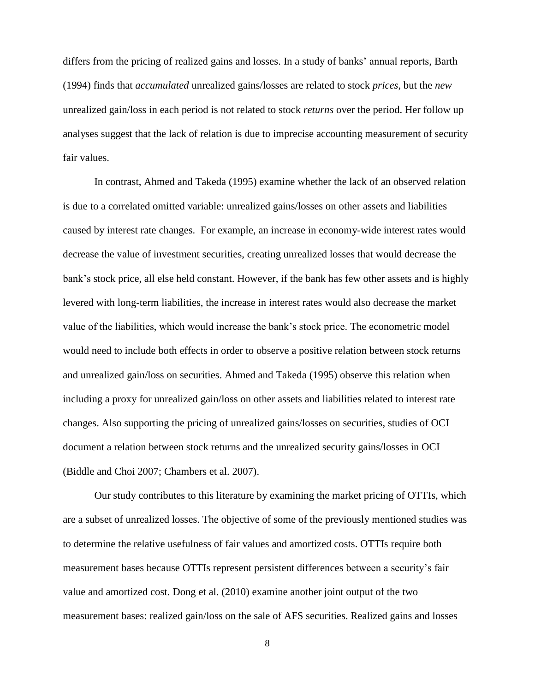differs from the pricing of realized gains and losses. In a study of banks' annual reports, Barth (1994) finds that *accumulated* unrealized gains/losses are related to stock *prices*, but the *new* unrealized gain/loss in each period is not related to stock *returns* over the period. Her follow up analyses suggest that the lack of relation is due to imprecise accounting measurement of security fair values.

In contrast, Ahmed and Takeda (1995) examine whether the lack of an observed relation is due to a correlated omitted variable: unrealized gains/losses on other assets and liabilities caused by interest rate changes. For example, an increase in economy-wide interest rates would decrease the value of investment securities, creating unrealized losses that would decrease the bank's stock price, all else held constant. However, if the bank has few other assets and is highly levered with long-term liabilities, the increase in interest rates would also decrease the market value of the liabilities, which would increase the bank's stock price. The econometric model would need to include both effects in order to observe a positive relation between stock returns and unrealized gain/loss on securities. Ahmed and Takeda (1995) observe this relation when including a proxy for unrealized gain/loss on other assets and liabilities related to interest rate changes. Also supporting the pricing of unrealized gains/losses on securities, studies of OCI document a relation between stock returns and the unrealized security gains/losses in OCI (Biddle and Choi 2007; Chambers et al. 2007).

Our study contributes to this literature by examining the market pricing of OTTIs, which are a subset of unrealized losses. The objective of some of the previously mentioned studies was to determine the relative usefulness of fair values and amortized costs. OTTIs require both measurement bases because OTTIs represent persistent differences between a security's fair value and amortized cost. Dong et al. (2010) examine another joint output of the two measurement bases: realized gain/loss on the sale of AFS securities. Realized gains and losses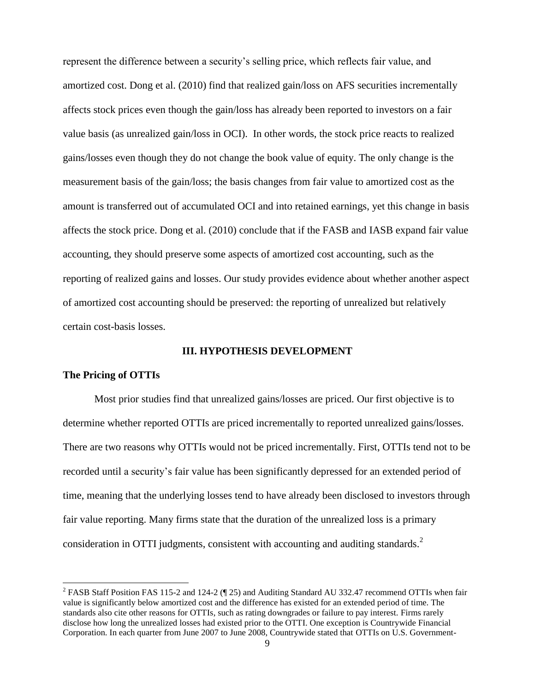represent the difference between a security's selling price, which reflects fair value, and amortized cost. Dong et al. (2010) find that realized gain/loss on AFS securities incrementally affects stock prices even though the gain/loss has already been reported to investors on a fair value basis (as unrealized gain/loss in OCI). In other words, the stock price reacts to realized gains/losses even though they do not change the book value of equity. The only change is the measurement basis of the gain/loss; the basis changes from fair value to amortized cost as the amount is transferred out of accumulated OCI and into retained earnings, yet this change in basis affects the stock price. Dong et al. (2010) conclude that if the FASB and IASB expand fair value accounting, they should preserve some aspects of amortized cost accounting, such as the reporting of realized gains and losses. Our study provides evidence about whether another aspect of amortized cost accounting should be preserved: the reporting of unrealized but relatively certain cost-basis losses.

# **III. HYPOTHESIS DEVELOPMENT**

# **The Pricing of OTTIs**

 $\overline{\phantom{a}}$ 

Most prior studies find that unrealized gains/losses are priced. Our first objective is to determine whether reported OTTIs are priced incrementally to reported unrealized gains/losses. There are two reasons why OTTIs would not be priced incrementally. First, OTTIs tend not to be recorded until a security's fair value has been significantly depressed for an extended period of time, meaning that the underlying losses tend to have already been disclosed to investors through fair value reporting. Many firms state that the duration of the unrealized loss is a primary consideration in OTTI judgments, consistent with accounting and auditing standards. $2$ 

<sup>&</sup>lt;sup>2</sup> FASB Staff Position FAS 115-2 and 124-2 ( $\P$  25) and Auditing Standard AU 332.47 recommend OTTIs when fair value is significantly below amortized cost and the difference has existed for an extended period of time. The standards also cite other reasons for OTTIs, such as rating downgrades or failure to pay interest. Firms rarely disclose how long the unrealized losses had existed prior to the OTTI. One exception is Countrywide Financial Corporation. In each quarter from June 2007 to June 2008, Countrywide stated that OTTIs on U.S. Government-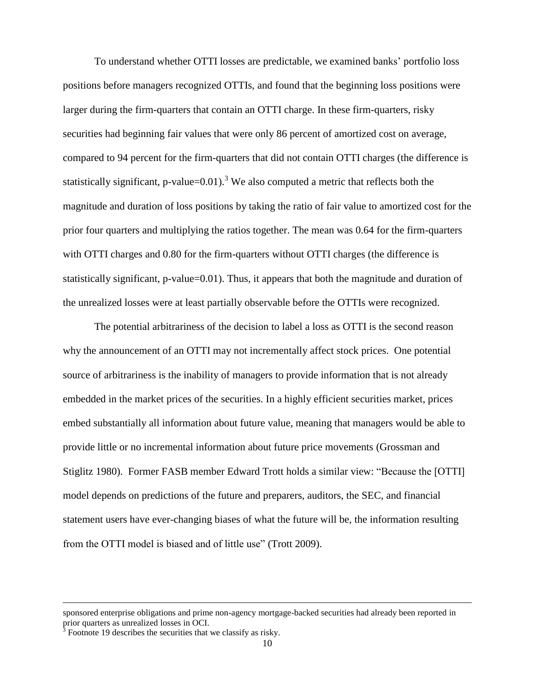To understand whether OTTI losses are predictable, we examined banks' portfolio loss positions before managers recognized OTTIs, and found that the beginning loss positions were larger during the firm-quarters that contain an OTTI charge. In these firm-quarters, risky securities had beginning fair values that were only 86 percent of amortized cost on average, compared to 94 percent for the firm-quarters that did not contain OTTI charges (the difference is statistically significant, p-value= $0.01$ ).<sup>3</sup> We also computed a metric that reflects both the magnitude and duration of loss positions by taking the ratio of fair value to amortized cost for the prior four quarters and multiplying the ratios together. The mean was 0.64 for the firm-quarters with OTTI charges and 0.80 for the firm-quarters without OTTI charges (the difference is statistically significant, p-value=0.01). Thus, it appears that both the magnitude and duration of the unrealized losses were at least partially observable before the OTTIs were recognized.

The potential arbitrariness of the decision to label a loss as OTTI is the second reason why the announcement of an OTTI may not incrementally affect stock prices. One potential source of arbitrariness is the inability of managers to provide information that is not already embedded in the market prices of the securities. In a highly efficient securities market, prices embed substantially all information about future value, meaning that managers would be able to provide little or no incremental information about future price movements (Grossman and Stiglitz 1980). Former FASB member Edward Trott holds a similar view: "Because the [OTTI] model depends on predictions of the future and preparers, auditors, the SEC, and financial statement users have ever-changing biases of what the future will be, the information resulting from the OTTI model is biased and of little use" (Trott 2009).

 $\overline{\phantom{a}}$ 

sponsored enterprise obligations and prime non-agency mortgage-backed securities had already been reported in prior quarters as unrealized losses in OCI.<br><sup>3</sup> Footnote 19 describes the securities that we classify as risky.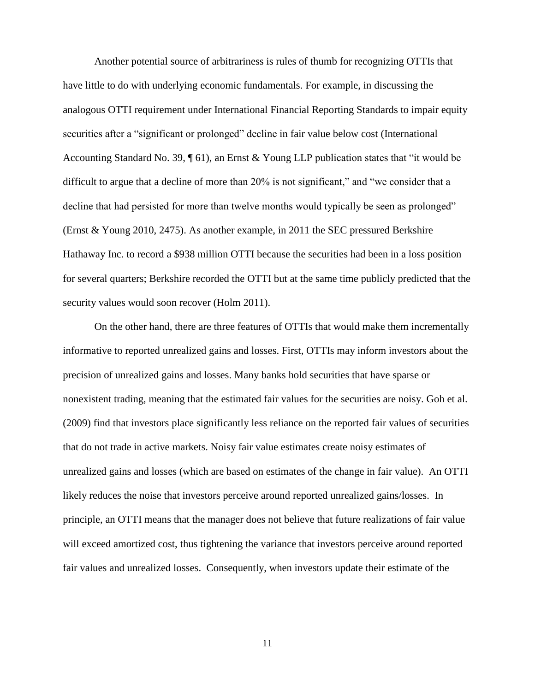Another potential source of arbitrariness is rules of thumb for recognizing OTTIs that have little to do with underlying economic fundamentals. For example, in discussing the analogous OTTI requirement under International Financial Reporting Standards to impair equity securities after a "significant or prolonged" decline in fair value below cost (International Accounting Standard No. 39, ¶ 61), an Ernst & Young LLP publication states that "it would be difficult to argue that a decline of more than 20% is not significant," and "we consider that a decline that had persisted for more than twelve months would typically be seen as prolonged" (Ernst & Young 2010, 2475). As another example, in 2011 the SEC pressured Berkshire Hathaway Inc. to record a \$938 million OTTI because the securities had been in a loss position for several quarters; Berkshire recorded the OTTI but at the same time publicly predicted that the security values would soon recover (Holm 2011).

On the other hand, there are three features of OTTIs that would make them incrementally informative to reported unrealized gains and losses. First, OTTIs may inform investors about the precision of unrealized gains and losses. Many banks hold securities that have sparse or nonexistent trading, meaning that the estimated fair values for the securities are noisy. Goh et al. (2009) find that investors place significantly less reliance on the reported fair values of securities that do not trade in active markets. Noisy fair value estimates create noisy estimates of unrealized gains and losses (which are based on estimates of the change in fair value). An OTTI likely reduces the noise that investors perceive around reported unrealized gains/losses. In principle, an OTTI means that the manager does not believe that future realizations of fair value will exceed amortized cost, thus tightening the variance that investors perceive around reported fair values and unrealized losses. Consequently, when investors update their estimate of the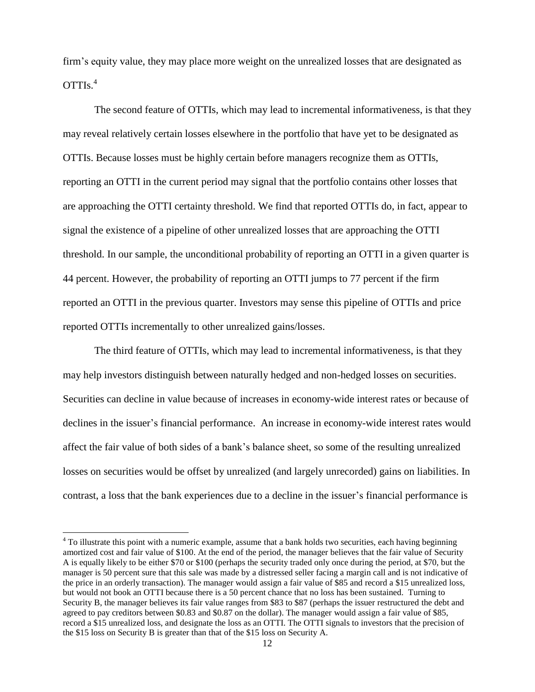firm's equity value, they may place more weight on the unrealized losses that are designated as OTTIs. 4

The second feature of OTTIs, which may lead to incremental informativeness, is that they may reveal relatively certain losses elsewhere in the portfolio that have yet to be designated as OTTIs. Because losses must be highly certain before managers recognize them as OTTIs, reporting an OTTI in the current period may signal that the portfolio contains other losses that are approaching the OTTI certainty threshold. We find that reported OTTIs do, in fact, appear to signal the existence of a pipeline of other unrealized losses that are approaching the OTTI threshold. In our sample, the unconditional probability of reporting an OTTI in a given quarter is 44 percent. However, the probability of reporting an OTTI jumps to 77 percent if the firm reported an OTTI in the previous quarter. Investors may sense this pipeline of OTTIs and price reported OTTIs incrementally to other unrealized gains/losses.

The third feature of OTTIs, which may lead to incremental informativeness, is that they may help investors distinguish between naturally hedged and non-hedged losses on securities. Securities can decline in value because of increases in economy-wide interest rates or because of declines in the issuer's financial performance. An increase in economy-wide interest rates would affect the fair value of both sides of a bank's balance sheet, so some of the resulting unrealized losses on securities would be offset by unrealized (and largely unrecorded) gains on liabilities. In contrast, a loss that the bank experiences due to a decline in the issuer's financial performance is

l

<sup>&</sup>lt;sup>4</sup> To illustrate this point with a numeric example, assume that a bank holds two securities, each having beginning amortized cost and fair value of \$100. At the end of the period, the manager believes that the fair value of Security A is equally likely to be either \$70 or \$100 (perhaps the security traded only once during the period, at \$70, but the manager is 50 percent sure that this sale was made by a distressed seller facing a margin call and is not indicative of the price in an orderly transaction). The manager would assign a fair value of \$85 and record a \$15 unrealized loss, but would not book an OTTI because there is a 50 percent chance that no loss has been sustained. Turning to Security B, the manager believes its fair value ranges from \$83 to \$87 (perhaps the issuer restructured the debt and agreed to pay creditors between \$0.83 and \$0.87 on the dollar). The manager would assign a fair value of \$85, record a \$15 unrealized loss, and designate the loss as an OTTI. The OTTI signals to investors that the precision of the \$15 loss on Security B is greater than that of the \$15 loss on Security A.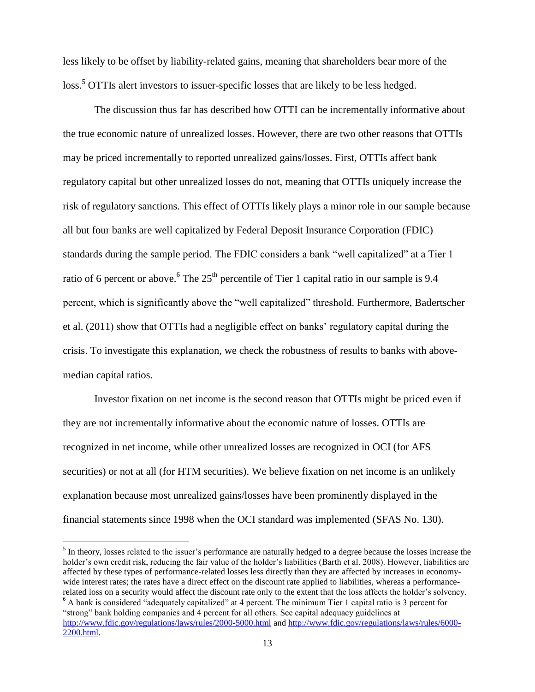less likely to be offset by liability-related gains, meaning that shareholders bear more of the loss.<sup>5</sup> OTTIs alert investors to issuer-specific losses that are likely to be less hedged.

The discussion thus far has described how OTTI can be incrementally informative about the true economic nature of unrealized losses. However, there are two other reasons that OTTIs may be priced incrementally to reported unrealized gains/losses. First, OTTIs affect bank regulatory capital but other unrealized losses do not, meaning that OTTIs uniquely increase the risk of regulatory sanctions. This effect of OTTIs likely plays a minor role in our sample because all but four banks are well capitalized by Federal Deposit Insurance Corporation (FDIC) standards during the sample period. The FDIC considers a bank "well capitalized" at a Tier 1 ratio of 6 percent or above. <sup>6</sup> The  $25<sup>th</sup>$  percentile of Tier 1 capital ratio in our sample is 9.4 percent, which is significantly above the "well capitalized" threshold. Furthermore, Badertscher et al. (2011) show that OTTIs had a negligible effect on banks' regulatory capital during the crisis. To investigate this explanation, we check the robustness of results to banks with abovemedian capital ratios.

Investor fixation on net income is the second reason that OTTIs might be priced even if they are not incrementally informative about the economic nature of losses. OTTIs are recognized in net income, while other unrealized losses are recognized in OCI (for AFS securities) or not at all (for HTM securities). We believe fixation on net income is an unlikely explanation because most unrealized gains/losses have been prominently displayed in the financial statements since 1998 when the OCI standard was implemented (SFAS No. 130).

 $\overline{\phantom{a}}$ 

 $<sup>5</sup>$  In theory, losses related to the issuer's performance are naturally hedged to a degree because the losses increase the</sup> holder's own credit risk, reducing the fair value of the holder's liabilities (Barth et al. 2008). However, liabilities are affected by these types of performance-related losses less directly than they are affected by increases in economywide interest rates; the rates have a direct effect on the discount rate applied to liabilities, whereas a performancerelated loss on a security would affect the discount rate only to the extent that the loss affects the holder's solvency. <sup>6</sup> A bank is considered "adequately capitalized" at 4 percent. The minimum Tier 1 capital ratio is 3 percent for "strong" bank holding companies and 4 percent for all others. See capital adequacy guidelines at <http://www.fdic.gov/regulations/laws/rules/2000-5000.html> and [http://www.fdic.gov/regulations/laws/rules/6000-](http://www.fdic.gov/regulations/laws/rules/6000-2200.html) [2200.html.](http://www.fdic.gov/regulations/laws/rules/6000-2200.html)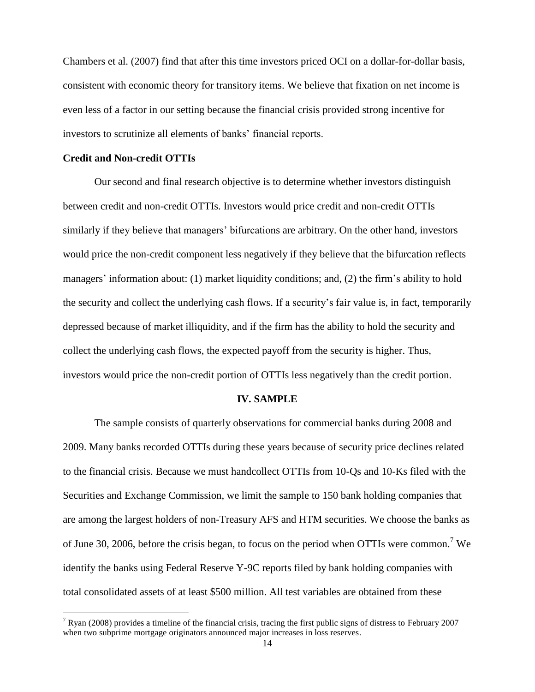Chambers et al. (2007) find that after this time investors priced OCI on a dollar-for-dollar basis, consistent with economic theory for transitory items. We believe that fixation on net income is even less of a factor in our setting because the financial crisis provided strong incentive for investors to scrutinize all elements of banks' financial reports.

### **Credit and Non-credit OTTIs**

l

Our second and final research objective is to determine whether investors distinguish between credit and non-credit OTTIs. Investors would price credit and non-credit OTTIs similarly if they believe that managers' bifurcations are arbitrary. On the other hand, investors would price the non-credit component less negatively if they believe that the bifurcation reflects managers' information about: (1) market liquidity conditions; and, (2) the firm's ability to hold the security and collect the underlying cash flows. If a security's fair value is, in fact, temporarily depressed because of market illiquidity, and if the firm has the ability to hold the security and collect the underlying cash flows, the expected payoff from the security is higher. Thus, investors would price the non-credit portion of OTTIs less negatively than the credit portion.

#### **IV. SAMPLE**

The sample consists of quarterly observations for commercial banks during 2008 and 2009. Many banks recorded OTTIs during these years because of security price declines related to the financial crisis. Because we must handcollect OTTIs from 10-Qs and 10-Ks filed with the Securities and Exchange Commission, we limit the sample to 150 bank holding companies that are among the largest holders of non-Treasury AFS and HTM securities. We choose the banks as of June 30, 2006, before the crisis began, to focus on the period when OTTIs were common.<sup>7</sup> We identify the banks using Federal Reserve Y-9C reports filed by bank holding companies with total consolidated assets of at least \$500 million. All test variables are obtained from these

 $7$  Ryan (2008) provides a timeline of the financial crisis, tracing the first public signs of distress to February 2007 when two subprime mortgage originators announced major increases in loss reserves.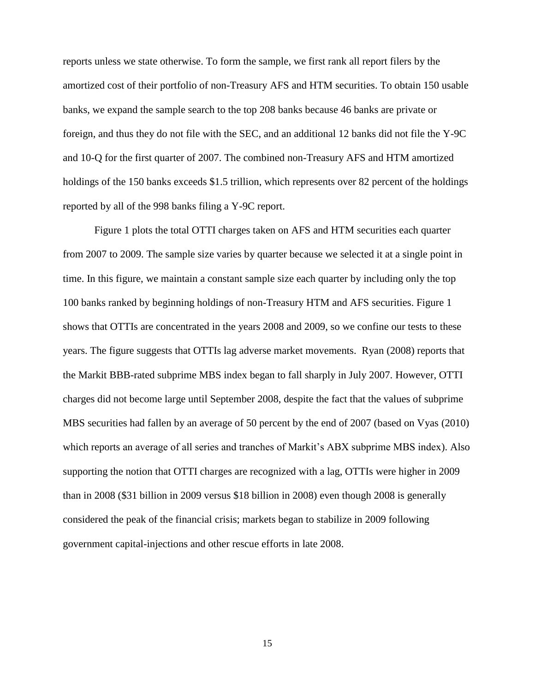reports unless we state otherwise. To form the sample, we first rank all report filers by the amortized cost of their portfolio of non-Treasury AFS and HTM securities. To obtain 150 usable banks, we expand the sample search to the top 208 banks because 46 banks are private or foreign, and thus they do not file with the SEC, and an additional 12 banks did not file the Y-9C and 10-Q for the first quarter of 2007. The combined non-Treasury AFS and HTM amortized holdings of the 150 banks exceeds \$1.5 trillion, which represents over 82 percent of the holdings reported by all of the 998 banks filing a Y-9C report.

Figure 1 plots the total OTTI charges taken on AFS and HTM securities each quarter from 2007 to 2009. The sample size varies by quarter because we selected it at a single point in time. In this figure, we maintain a constant sample size each quarter by including only the top 100 banks ranked by beginning holdings of non-Treasury HTM and AFS securities. Figure 1 shows that OTTIs are concentrated in the years 2008 and 2009, so we confine our tests to these years. The figure suggests that OTTIs lag adverse market movements. Ryan (2008) reports that the Markit BBB-rated subprime MBS index began to fall sharply in July 2007. However, OTTI charges did not become large until September 2008, despite the fact that the values of subprime MBS securities had fallen by an average of 50 percent by the end of 2007 (based on Vyas (2010) which reports an average of all series and tranches of Markit's ABX subprime MBS index). Also supporting the notion that OTTI charges are recognized with a lag, OTTIs were higher in 2009 than in 2008 (\$31 billion in 2009 versus \$18 billion in 2008) even though 2008 is generally considered the peak of the financial crisis; markets began to stabilize in 2009 following government capital-injections and other rescue efforts in late 2008.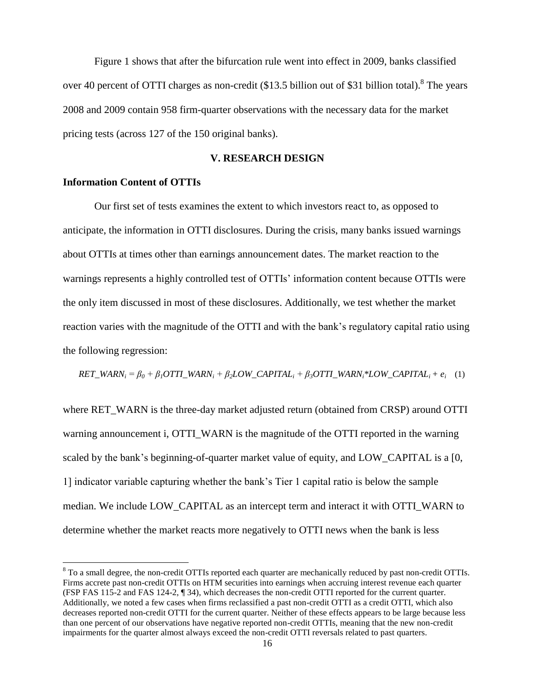Figure 1 shows that after the bifurcation rule went into effect in 2009, banks classified over 40 percent of OTTI charges as non-credit  $(\$13.5$  billion out of \$31 billion total).<sup>8</sup> The years 2008 and 2009 contain 958 firm-quarter observations with the necessary data for the market pricing tests (across 127 of the 150 original banks).

# **V. RESEARCH DESIGN**

### **Information Content of OTTIs**

 $\overline{a}$ 

Our first set of tests examines the extent to which investors react to, as opposed to anticipate, the information in OTTI disclosures. During the crisis, many banks issued warnings about OTTIs at times other than earnings announcement dates. The market reaction to the warnings represents a highly controlled test of OTTIs' information content because OTTIs were the only item discussed in most of these disclosures. Additionally, we test whether the market reaction varies with the magnitude of the OTTI and with the bank's regulatory capital ratio using the following regression:

 $RET\_WARN_i = \beta_0 + \beta_1 OTTI\_WARN_i + \beta_2LOW\_CAPITAL_i + \beta_3 OTTI\_WARN_i *LOW\_CAPITAL_i + e_i$  (1)

where RET\_WARN is the three-day market adjusted return (obtained from CRSP) around OTTI warning announcement i, OTTI\_WARN is the magnitude of the OTTI reported in the warning scaled by the bank's beginning-of-quarter market value of equity, and LOW CAPITAL is a [0, 1] indicator variable capturing whether the bank's Tier 1 capital ratio is below the sample median. We include LOW\_CAPITAL as an intercept term and interact it with OTTI\_WARN to determine whether the market reacts more negatively to OTTI news when the bank is less

<sup>&</sup>lt;sup>8</sup> To a small degree, the non-credit OTTIs reported each quarter are mechanically reduced by past non-credit OTTIs. Firms accrete past non-credit OTTIs on HTM securities into earnings when accruing interest revenue each quarter (FSP FAS 115-2 and FAS 124-2, ¶ 34), which decreases the non-credit OTTI reported for the current quarter. Additionally, we noted a few cases when firms reclassified a past non-credit OTTI as a credit OTTI, which also decreases reported non-credit OTTI for the current quarter. Neither of these effects appears to be large because less than one percent of our observations have negative reported non-credit OTTIs, meaning that the new non-credit impairments for the quarter almost always exceed the non-credit OTTI reversals related to past quarters.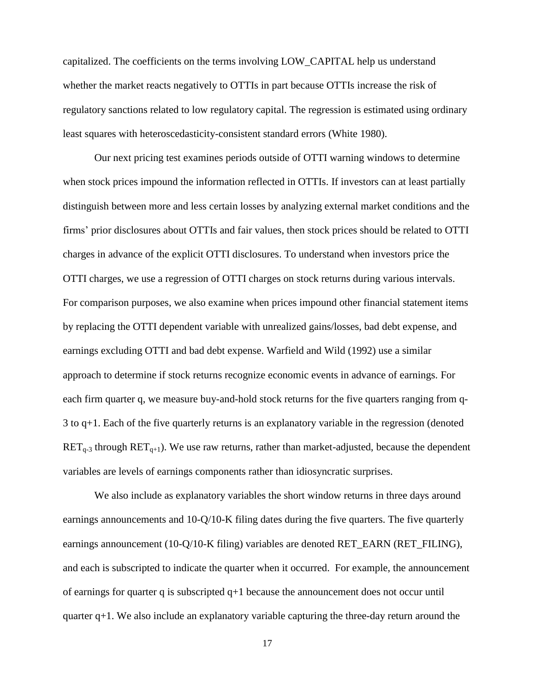capitalized. The coefficients on the terms involving LOW\_CAPITAL help us understand whether the market reacts negatively to OTTIs in part because OTTIs increase the risk of regulatory sanctions related to low regulatory capital. The regression is estimated using ordinary least squares with heteroscedasticity-consistent standard errors (White 1980).

Our next pricing test examines periods outside of OTTI warning windows to determine when stock prices impound the information reflected in OTTIs. If investors can at least partially distinguish between more and less certain losses by analyzing external market conditions and the firms' prior disclosures about OTTIs and fair values, then stock prices should be related to OTTI charges in advance of the explicit OTTI disclosures. To understand when investors price the OTTI charges, we use a regression of OTTI charges on stock returns during various intervals. For comparison purposes, we also examine when prices impound other financial statement items by replacing the OTTI dependent variable with unrealized gains/losses, bad debt expense, and earnings excluding OTTI and bad debt expense. Warfield and Wild (1992) use a similar approach to determine if stock returns recognize economic events in advance of earnings. For each firm quarter q, we measure buy-and-hold stock returns for the five quarters ranging from q-3 to q+1. Each of the five quarterly returns is an explanatory variable in the regression (denoted  $RET_{q-3}$  through  $RET_{q+1}$ ). We use raw returns, rather than market-adjusted, because the dependent variables are levels of earnings components rather than idiosyncratic surprises.

We also include as explanatory variables the short window returns in three days around earnings announcements and 10-Q/10-K filing dates during the five quarters. The five quarterly earnings announcement (10-Q/10-K filing) variables are denoted RET\_EARN (RET\_FILING), and each is subscripted to indicate the quarter when it occurred. For example, the announcement of earnings for quarter q is subscripted q+1 because the announcement does not occur until quarter  $q+1$ . We also include an explanatory variable capturing the three-day return around the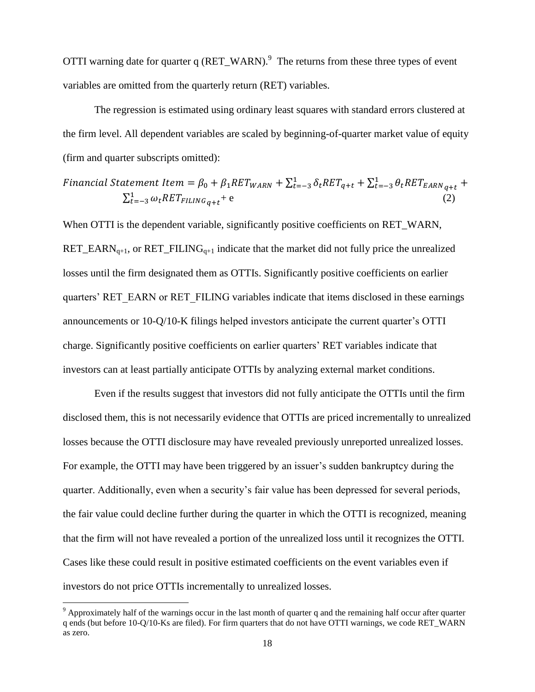OTTI warning date for quarter q  $(RET_WARN)$ .<sup>9</sup> The returns from these three types of event variables are omitted from the quarterly return (RET) variables.

The regression is estimated using ordinary least squares with standard errors clustered at the firm level. All dependent variables are scaled by beginning-of-quarter market value of equity (firm and quarter subscripts omitted):

$$
Financial Statement Item = \beta_0 + \beta_1 RET_{WARN} + \sum_{t=-3}^{1} \delta_t RET_{q+t} + \sum_{t=-3}^{1} \theta_t RET_{EARN_{q+t}} + \sum_{t=-3}^{1} \omega_t RET_{FILING_{q+t}} + e
$$
\n(2)

When OTTI is the dependent variable, significantly positive coefficients on RET\_WARN, RET\_EARN<sub>q+1</sub>, or RET\_FILING<sub>q+1</sub> indicate that the market did not fully price the unrealized losses until the firm designated them as OTTIs. Significantly positive coefficients on earlier quarters' RET\_EARN or RET\_FILING variables indicate that items disclosed in these earnings announcements or 10-Q/10-K filings helped investors anticipate the current quarter's OTTI charge. Significantly positive coefficients on earlier quarters' RET variables indicate that investors can at least partially anticipate OTTIs by analyzing external market conditions.

Even if the results suggest that investors did not fully anticipate the OTTIs until the firm disclosed them, this is not necessarily evidence that OTTIs are priced incrementally to unrealized losses because the OTTI disclosure may have revealed previously unreported unrealized losses. For example, the OTTI may have been triggered by an issuer's sudden bankruptcy during the quarter. Additionally, even when a security's fair value has been depressed for several periods, the fair value could decline further during the quarter in which the OTTI is recognized, meaning that the firm will not have revealed a portion of the unrealized loss until it recognizes the OTTI. Cases like these could result in positive estimated coefficients on the event variables even if investors do not price OTTIs incrementally to unrealized losses.

 $\overline{\phantom{a}}$ 

<sup>9</sup> Approximately half of the warnings occur in the last month of quarter q and the remaining half occur after quarter q ends (but before 10-Q/10-Ks are filed). For firm quarters that do not have OTTI warnings, we code RET\_WARN as zero.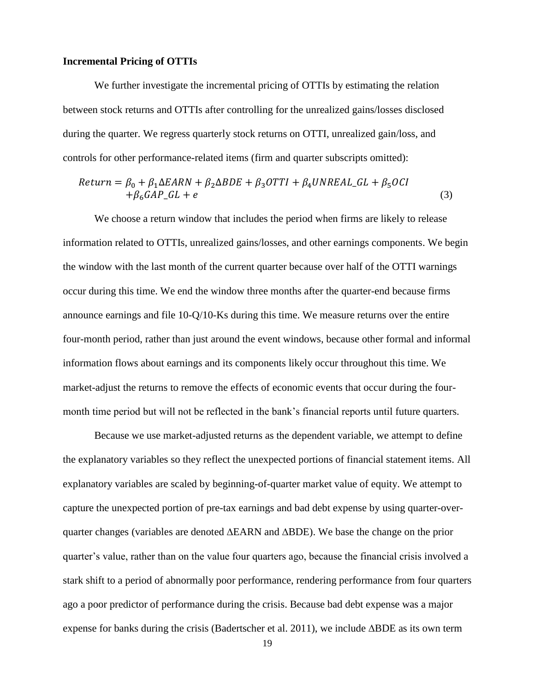#### **Incremental Pricing of OTTIs**

We further investigate the incremental pricing of OTTIs by estimating the relation between stock returns and OTTIs after controlling for the unrealized gains/losses disclosed during the quarter. We regress quarterly stock returns on OTTI, unrealized gain/loss, and controls for other performance-related items (firm and quarter subscripts omitted):

$$
Return = \beta_0 + \beta_1 \Delta EARN + \beta_2 \Delta BDE + \beta_3 OTTI + \beta_4 UNREAL\_GL + \beta_5 OCI
$$
  
+  $\beta_6 GAP\_GL + e$  (3)

We choose a return window that includes the period when firms are likely to release information related to OTTIs, unrealized gains/losses, and other earnings components. We begin the window with the last month of the current quarter because over half of the OTTI warnings occur during this time. We end the window three months after the quarter-end because firms announce earnings and file 10-Q/10-Ks during this time. We measure returns over the entire four-month period, rather than just around the event windows, because other formal and informal information flows about earnings and its components likely occur throughout this time. We market-adjust the returns to remove the effects of economic events that occur during the fourmonth time period but will not be reflected in the bank's financial reports until future quarters.

Because we use market-adjusted returns as the dependent variable, we attempt to define the explanatory variables so they reflect the unexpected portions of financial statement items. All explanatory variables are scaled by beginning-of-quarter market value of equity. We attempt to capture the unexpected portion of pre-tax earnings and bad debt expense by using quarter-overquarter changes (variables are denoted ∆EARN and ∆BDE). We base the change on the prior quarter's value, rather than on the value four quarters ago, because the financial crisis involved a stark shift to a period of abnormally poor performance, rendering performance from four quarters ago a poor predictor of performance during the crisis. Because bad debt expense was a major expense for banks during the crisis (Badertscher et al. 2011), we include ∆BDE as its own term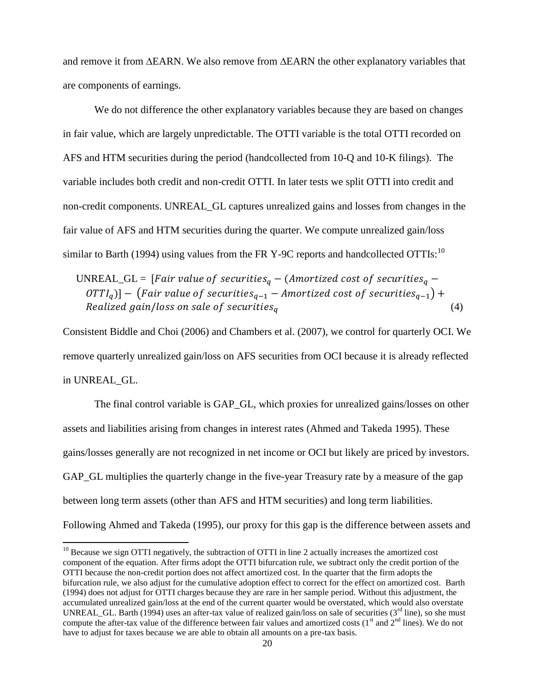and remove it from ∆EARN. We also remove from ∆EARN the other explanatory variables that are components of earnings.

We do not difference the other explanatory variables because they are based on changes in fair value, which are largely unpredictable. The OTTI variable is the total OTTI recorded on AFS and HTM securities during the period (handcollected from 10-Q and 10-K filings). The variable includes both credit and non-credit OTTI. In later tests we split OTTI into credit and non-credit components. UNREAL\_GL captures unrealized gains and losses from changes in the fair value of AFS and HTM securities during the quarter. We compute unrealized gain/loss similar to Barth (1994) using values from the FR Y-9C reports and handcollected OTTIs:<sup>10</sup>

UNREAL\_GL = [Fair value of securities<sub>q</sub> – (Amortized cost of securities<sub>q</sub> –  $\left( \begin{array}{c} OTTI_q \end{array} \right)$  -  $\left( \begin{array}{c} Fair \ value \ of \ securities_{q-1} - Amortized \ cost \ of \ securities_{q-1} \end{array} \right)$  + Realized gain/loss on sale of securities<sub>a</sub> (4)

Consistent Biddle and Choi (2006) and Chambers et al. (2007), we control for quarterly OCI. We remove quarterly unrealized gain/loss on AFS securities from OCI because it is already reflected in UNREAL\_GL.

The final control variable is GAP\_GL, which proxies for unrealized gains/losses on other assets and liabilities arising from changes in interest rates (Ahmed and Takeda 1995). These gains/losses generally are not recognized in net income or OCI but likely are priced by investors. GAP\_GL multiplies the quarterly change in the five-year Treasury rate by a measure of the gap between long term assets (other than AFS and HTM securities) and long term liabilities. Following Ahmed and Takeda (1995), our proxy for this gap is the difference between assets and

 $\overline{\phantom{a}}$ 

 $10$  Because we sign OTTI negatively, the subtraction of OTTI in line 2 actually increases the amortized cost component of the equation. After firms adopt the OTTI bifurcation rule, we subtract only the credit portion of the OTTI because the non-credit portion does not affect amortized cost. In the quarter that the firm adopts the bifurcation rule, we also adjust for the cumulative adoption effect to correct for the effect on amortized cost. Barth (1994) does not adjust for OTTI charges because they are rare in her sample period. Without this adjustment, the accumulated unrealized gain/loss at the end of the current quarter would be overstated, which would also overstate UNREAL\_GL. Barth (1994) uses an after-tax value of realized gain/loss on sale of securities ( $3<sup>rd</sup>$  line), so she must compute the after-tax value of the difference between fair values and amortized costs ( $1<sup>st</sup>$  and  $2<sup>nd</sup>$  lines). We do not have to adjust for taxes because we are able to obtain all amounts on a pre-tax basis.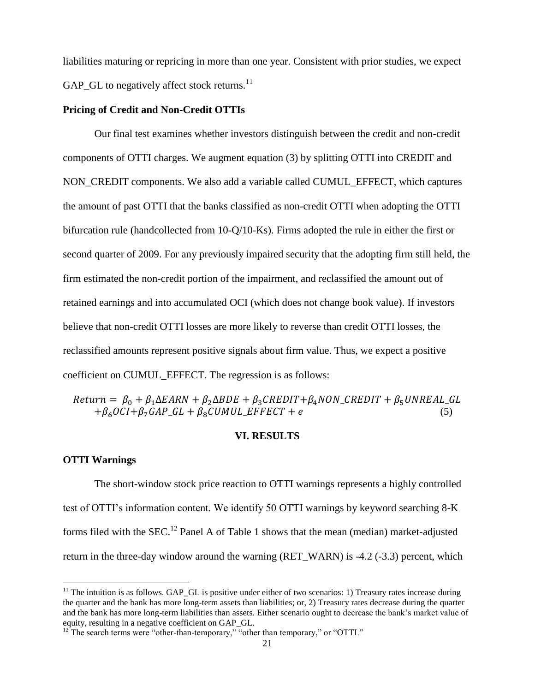liabilities maturing or repricing in more than one year. Consistent with prior studies, we expect GAP GL to negatively affect stock returns.<sup>11</sup>

#### **Pricing of Credit and Non-Credit OTTIs**

Our final test examines whether investors distinguish between the credit and non-credit components of OTTI charges. We augment equation (3) by splitting OTTI into CREDIT and NON\_CREDIT components. We also add a variable called CUMUL\_EFFECT, which captures the amount of past OTTI that the banks classified as non-credit OTTI when adopting the OTTI bifurcation rule (handcollected from 10-Q/10-Ks). Firms adopted the rule in either the first or second quarter of 2009. For any previously impaired security that the adopting firm still held, the firm estimated the non-credit portion of the impairment, and reclassified the amount out of retained earnings and into accumulated OCI (which does not change book value). If investors believe that non-credit OTTI losses are more likely to reverse than credit OTTI losses, the reclassified amounts represent positive signals about firm value. Thus, we expect a positive coefficient on CUMUL\_EFFECT. The regression is as follows:

# $Return = \beta_0 + \beta_1 \Delta EARN + \beta_2 \Delta BDE + \beta_3 CREDIT + \beta_4 NON_CREDIT + \beta_5 UNREAL_GL$  $+\beta_6 OCI + \beta_7 GAP\_GL + \beta_8 CUMUL\_EFFECT + e$  (5)

### **VI. RESULTS**

# **OTTI Warnings**

 $\overline{\phantom{a}}$ 

The short-window stock price reaction to OTTI warnings represents a highly controlled test of OTTI's information content. We identify 50 OTTI warnings by keyword searching 8-K forms filed with the SEC.<sup>12</sup> Panel A of Table 1 shows that the mean (median) market-adjusted return in the three-day window around the warning (RET\_WARN) is -4.2 (-3.3) percent, which

 $11$  The intuition is as follows. GAP\_GL is positive under either of two scenarios: 1) Treasury rates increase during the quarter and the bank has more long-term assets than liabilities; or, 2) Treasury rates decrease during the quarter and the bank has more long-term liabilities than assets. Either scenario ought to decrease the bank's market value of equity, resulting in a negative coefficient on GAP\_GL.

 $^{12}$  The search terms were "other-than-temporary," "other than temporary," or "OTTI."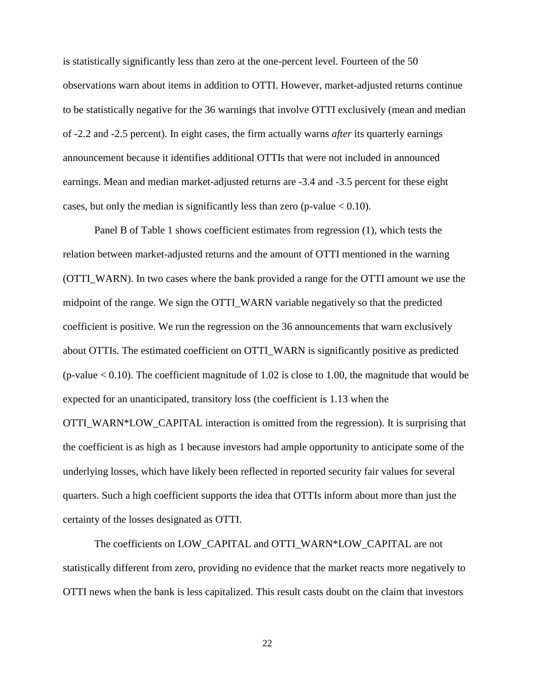is statistically significantly less than zero at the one-percent level. Fourteen of the 50 observations warn about items in addition to OTTI. However, market-adjusted returns continue to be statistically negative for the 36 warnings that involve OTTI exclusively (mean and median of -2.2 and -2.5 percent). In eight cases, the firm actually warns *after* its quarterly earnings announcement because it identifies additional OTTIs that were not included in announced earnings. Mean and median market-adjusted returns are -3.4 and -3.5 percent for these eight cases, but only the median is significantly less than zero (p-value  $< 0.10$ ).

Panel B of Table 1 shows coefficient estimates from regression (1), which tests the relation between market-adjusted returns and the amount of OTTI mentioned in the warning (OTTI\_WARN). In two cases where the bank provided a range for the OTTI amount we use the midpoint of the range. We sign the OTTI\_WARN variable negatively so that the predicted coefficient is positive. We run the regression on the 36 announcements that warn exclusively about OTTIs. The estimated coefficient on OTTI\_WARN is significantly positive as predicted (p-value  $< 0.10$ ). The coefficient magnitude of 1.02 is close to 1.00, the magnitude that would be expected for an unanticipated, transitory loss (the coefficient is 1.13 when the OTTI\_WARN\*LOW\_CAPITAL interaction is omitted from the regression). It is surprising that the coefficient is as high as 1 because investors had ample opportunity to anticipate some of the underlying losses, which have likely been reflected in reported security fair values for several quarters. Such a high coefficient supports the idea that OTTIs inform about more than just the certainty of the losses designated as OTTI.

The coefficients on LOW\_CAPITAL and OTTI\_WARN\*LOW\_CAPITAL are not statistically different from zero, providing no evidence that the market reacts more negatively to OTTI news when the bank is less capitalized. This result casts doubt on the claim that investors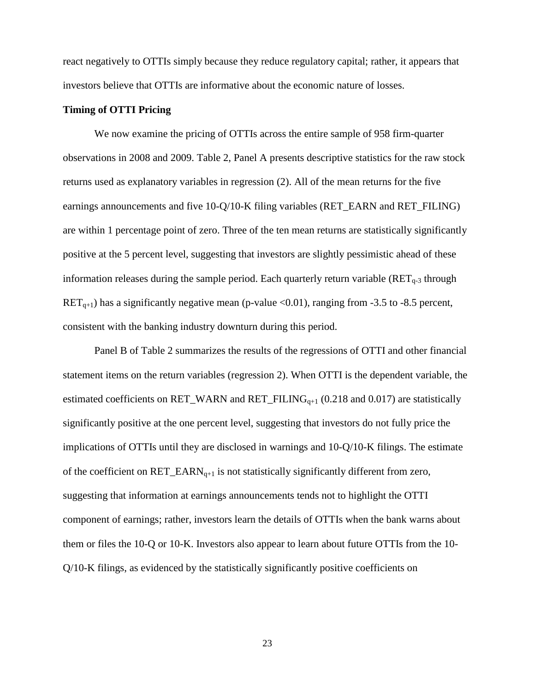react negatively to OTTIs simply because they reduce regulatory capital; rather, it appears that investors believe that OTTIs are informative about the economic nature of losses.

# **Timing of OTTI Pricing**

We now examine the pricing of OTTIs across the entire sample of 958 firm-quarter observations in 2008 and 2009. Table 2, Panel A presents descriptive statistics for the raw stock returns used as explanatory variables in regression (2). All of the mean returns for the five earnings announcements and five 10-Q/10-K filing variables (RET\_EARN and RET\_FILING) are within 1 percentage point of zero. Three of the ten mean returns are statistically significantly positive at the 5 percent level, suggesting that investors are slightly pessimistic ahead of these information releases during the sample period. Each quarterly return variable  $(RET<sub>q-3</sub>$  through  $RET_{q+1}$ ) has a significantly negative mean (p-value <0.01), ranging from -3.5 to -8.5 percent, consistent with the banking industry downturn during this period.

Panel B of Table 2 summarizes the results of the regressions of OTTI and other financial statement items on the return variables (regression 2). When OTTI is the dependent variable, the estimated coefficients on RET\_WARN and RET\_FILING<sub>q+1</sub> (0.218 and 0.017) are statistically significantly positive at the one percent level, suggesting that investors do not fully price the implications of OTTIs until they are disclosed in warnings and 10-Q/10-K filings. The estimate of the coefficient on  $RET\_EARN_{q+1}$  is not statistically significantly different from zero, suggesting that information at earnings announcements tends not to highlight the OTTI component of earnings; rather, investors learn the details of OTTIs when the bank warns about them or files the 10-Q or 10-K. Investors also appear to learn about future OTTIs from the 10- Q/10-K filings, as evidenced by the statistically significantly positive coefficients on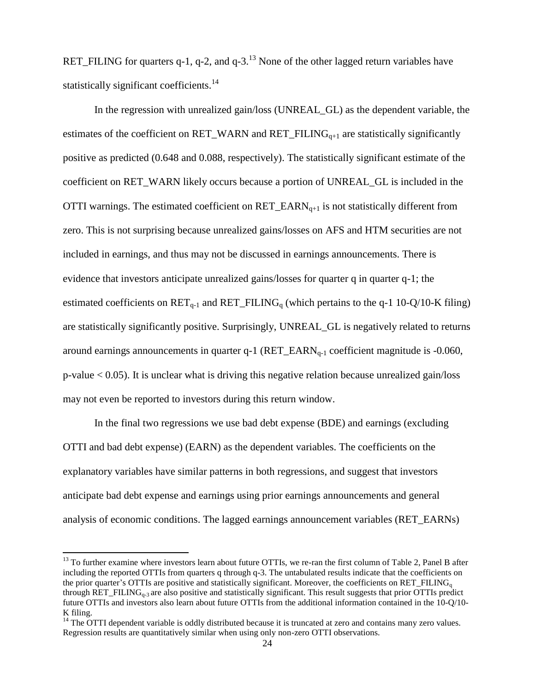RET\_FILING for quarters q-1, q-2, and q-3.<sup>13</sup> None of the other lagged return variables have statistically significant coefficients.<sup>14</sup>

In the regression with unrealized gain/loss (UNREAL\_GL) as the dependent variable, the estimates of the coefficient on RET\_WARN and RET\_FILING $_{q+1}$  are statistically significantly positive as predicted (0.648 and 0.088, respectively). The statistically significant estimate of the coefficient on RET\_WARN likely occurs because a portion of UNREAL\_GL is included in the OTTI warnings. The estimated coefficient on  $RET\_EARN_{q+1}$  is not statistically different from zero. This is not surprising because unrealized gains/losses on AFS and HTM securities are not included in earnings, and thus may not be discussed in earnings announcements. There is evidence that investors anticipate unrealized gains/losses for quarter q in quarter q-1; the estimated coefficients on  $RET_{q-1}$  and  $RET_FILING_q$  (which pertains to the q-1 10-Q/10-K filing) are statistically significantly positive. Surprisingly, UNREAL\_GL is negatively related to returns around earnings announcements in quarter  $q-1$  (RET\_EARN $_{q-1}$  coefficient magnitude is -0.060, p-value < 0.05). It is unclear what is driving this negative relation because unrealized gain/loss may not even be reported to investors during this return window.

In the final two regressions we use bad debt expense (BDE) and earnings (excluding OTTI and bad debt expense) (EARN) as the dependent variables. The coefficients on the explanatory variables have similar patterns in both regressions, and suggest that investors anticipate bad debt expense and earnings using prior earnings announcements and general analysis of economic conditions. The lagged earnings announcement variables (RET\_EARNs)

l

 $13$  To further examine where investors learn about future OTTIs, we re-ran the first column of Table 2, Panel B after including the reported OTTIs from quarters q through q-3. The untabulated results indicate that the coefficients on the prior quarter's OTTIs are positive and statistically significant. Moreover, the coefficients on RET\_FILING<sub>n</sub> through RET\_FILING<sub>0-3</sub> are also positive and statistically significant. This result suggests that prior OTTIs predict future OTTIs and investors also learn about future OTTIs from the additional information contained in the 10-Q/10- K filing.

 $14$  The OTTI dependent variable is oddly distributed because it is truncated at zero and contains many zero values. Regression results are quantitatively similar when using only non-zero OTTI observations.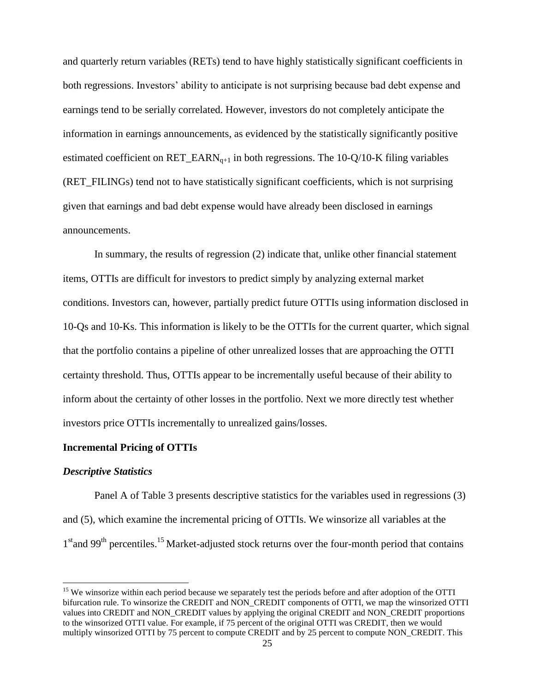and quarterly return variables (RETs) tend to have highly statistically significant coefficients in both regressions. Investors' ability to anticipate is not surprising because bad debt expense and earnings tend to be serially correlated. However, investors do not completely anticipate the information in earnings announcements, as evidenced by the statistically significantly positive estimated coefficient on  $RET\_EARN_{q+1}$  in both regressions. The 10-Q/10-K filing variables (RET\_FILINGs) tend not to have statistically significant coefficients, which is not surprising given that earnings and bad debt expense would have already been disclosed in earnings announcements.

In summary, the results of regression (2) indicate that, unlike other financial statement items, OTTIs are difficult for investors to predict simply by analyzing external market conditions. Investors can, however, partially predict future OTTIs using information disclosed in 10-Qs and 10-Ks. This information is likely to be the OTTIs for the current quarter, which signal that the portfolio contains a pipeline of other unrealized losses that are approaching the OTTI certainty threshold. Thus, OTTIs appear to be incrementally useful because of their ability to inform about the certainty of other losses in the portfolio. Next we more directly test whether investors price OTTIs incrementally to unrealized gains/losses.

# **Incremental Pricing of OTTIs**

#### *Descriptive Statistics*

 $\overline{\phantom{a}}$ 

Panel A of Table 3 presents descriptive statistics for the variables used in regressions (3) and (5), which examine the incremental pricing of OTTIs. We winsorize all variables at the 1<sup>st</sup>and 99<sup>th</sup> percentiles.<sup>15</sup> Market-adjusted stock returns over the four-month period that contains

<sup>&</sup>lt;sup>15</sup> We winsorize within each period because we separately test the periods before and after adoption of the OTTI bifurcation rule. To winsorize the CREDIT and NON\_CREDIT components of OTTI, we map the winsorized OTTI values into CREDIT and NON\_CREDIT values by applying the original CREDIT and NON\_CREDIT proportions to the winsorized OTTI value. For example, if 75 percent of the original OTTI was CREDIT, then we would multiply winsorized OTTI by 75 percent to compute CREDIT and by 25 percent to compute NON\_CREDIT. This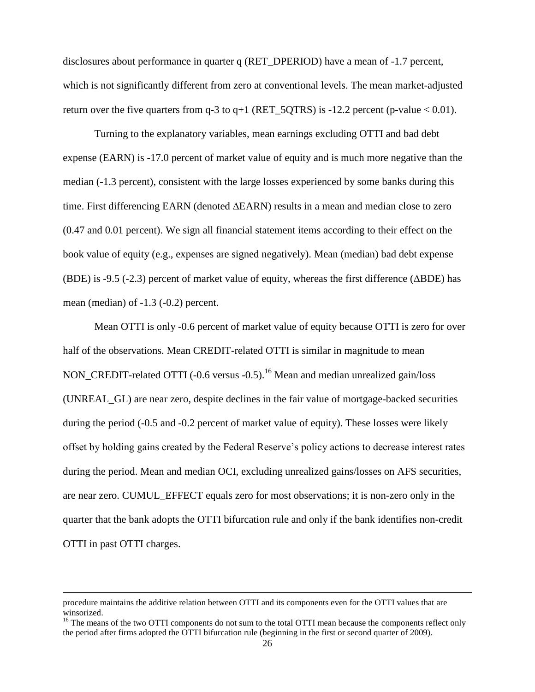disclosures about performance in quarter q (RET\_DPERIOD) have a mean of -1.7 percent, which is not significantly different from zero at conventional levels. The mean market-adjusted return over the five quarters from  $q-3$  to  $q+1$  (RET\_5QTRS) is  $-12.2$  percent (p-value < 0.01).

Turning to the explanatory variables, mean earnings excluding OTTI and bad debt expense (EARN) is -17.0 percent of market value of equity and is much more negative than the median (-1.3 percent), consistent with the large losses experienced by some banks during this time. First differencing EARN (denoted ∆EARN) results in a mean and median close to zero (0.47 and 0.01 percent). We sign all financial statement items according to their effect on the book value of equity (e.g., expenses are signed negatively). Mean (median) bad debt expense (BDE) is -9.5 (-2.3) percent of market value of equity, whereas the first difference (∆BDE) has mean (median) of -1.3 (-0.2) percent.

Mean OTTI is only -0.6 percent of market value of equity because OTTI is zero for over half of the observations. Mean CREDIT-related OTTI is similar in magnitude to mean NON\_CREDIT-related OTTI (-0.6 versus -0.5).<sup>16</sup> Mean and median unrealized gain/loss (UNREAL\_GL) are near zero, despite declines in the fair value of mortgage-backed securities during the period (-0.5 and -0.2 percent of market value of equity). These losses were likely offset by holding gains created by the Federal Reserve's policy actions to decrease interest rates during the period. Mean and median OCI, excluding unrealized gains/losses on AFS securities, are near zero. CUMUL\_EFFECT equals zero for most observations; it is non-zero only in the quarter that the bank adopts the OTTI bifurcation rule and only if the bank identifies non-credit OTTI in past OTTI charges.

 $\overline{\phantom{a}}$ 

procedure maintains the additive relation between OTTI and its components even for the OTTI values that are winsorized.

<sup>&</sup>lt;sup>16</sup> The means of the two OTTI components do not sum to the total OTTI mean because the components reflect only the period after firms adopted the OTTI bifurcation rule (beginning in the first or second quarter of 2009).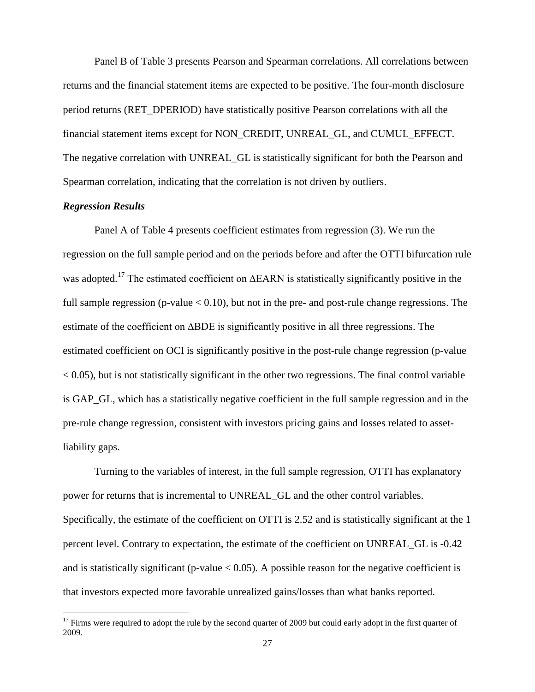Panel B of Table 3 presents Pearson and Spearman correlations. All correlations between returns and the financial statement items are expected to be positive. The four-month disclosure period returns (RET\_DPERIOD) have statistically positive Pearson correlations with all the financial statement items except for NON\_CREDIT, UNREAL\_GL, and CUMUL\_EFFECT. The negative correlation with UNREAL\_GL is statistically significant for both the Pearson and Spearman correlation, indicating that the correlation is not driven by outliers.

# *Regression Results*

l

Panel A of Table 4 presents coefficient estimates from regression (3). We run the regression on the full sample period and on the periods before and after the OTTI bifurcation rule was adopted.<sup>17</sup> The estimated coefficient on ∆EARN is statistically significantly positive in the full sample regression (p-value  $< 0.10$ ), but not in the pre- and post-rule change regressions. The estimate of the coefficient on ∆BDE is significantly positive in all three regressions. The estimated coefficient on OCI is significantly positive in the post-rule change regression (p-value  $<$  0.05), but is not statistically significant in the other two regressions. The final control variable is GAP\_GL, which has a statistically negative coefficient in the full sample regression and in the pre-rule change regression, consistent with investors pricing gains and losses related to assetliability gaps.

Turning to the variables of interest, in the full sample regression, OTTI has explanatory power for returns that is incremental to UNREAL\_GL and the other control variables. Specifically, the estimate of the coefficient on OTTI is 2.52 and is statistically significant at the 1 percent level. Contrary to expectation, the estimate of the coefficient on UNREAL\_GL is -0.42 and is statistically significant (p-value  $< 0.05$ ). A possible reason for the negative coefficient is that investors expected more favorable unrealized gains/losses than what banks reported.

 $17$  Firms were required to adopt the rule by the second quarter of 2009 but could early adopt in the first quarter of 2009.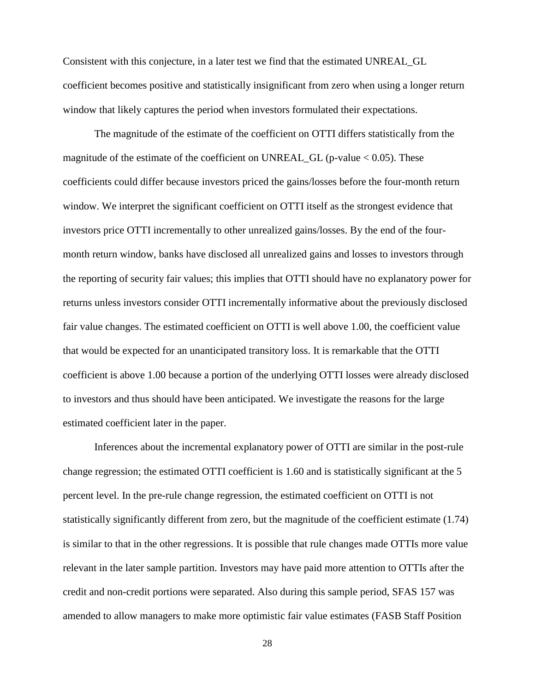Consistent with this conjecture, in a later test we find that the estimated UNREAL\_GL coefficient becomes positive and statistically insignificant from zero when using a longer return window that likely captures the period when investors formulated their expectations.

The magnitude of the estimate of the coefficient on OTTI differs statistically from the magnitude of the estimate of the coefficient on UNREAL\_GL (p-value  $< 0.05$ ). These coefficients could differ because investors priced the gains/losses before the four-month return window. We interpret the significant coefficient on OTTI itself as the strongest evidence that investors price OTTI incrementally to other unrealized gains/losses. By the end of the fourmonth return window, banks have disclosed all unrealized gains and losses to investors through the reporting of security fair values; this implies that OTTI should have no explanatory power for returns unless investors consider OTTI incrementally informative about the previously disclosed fair value changes. The estimated coefficient on OTTI is well above 1.00, the coefficient value that would be expected for an unanticipated transitory loss. It is remarkable that the OTTI coefficient is above 1.00 because a portion of the underlying OTTI losses were already disclosed to investors and thus should have been anticipated. We investigate the reasons for the large estimated coefficient later in the paper.

Inferences about the incremental explanatory power of OTTI are similar in the post-rule change regression; the estimated OTTI coefficient is 1.60 and is statistically significant at the 5 percent level. In the pre-rule change regression, the estimated coefficient on OTTI is not statistically significantly different from zero, but the magnitude of the coefficient estimate (1.74) is similar to that in the other regressions. It is possible that rule changes made OTTIs more value relevant in the later sample partition. Investors may have paid more attention to OTTIs after the credit and non-credit portions were separated. Also during this sample period, SFAS 157 was amended to allow managers to make more optimistic fair value estimates (FASB Staff Position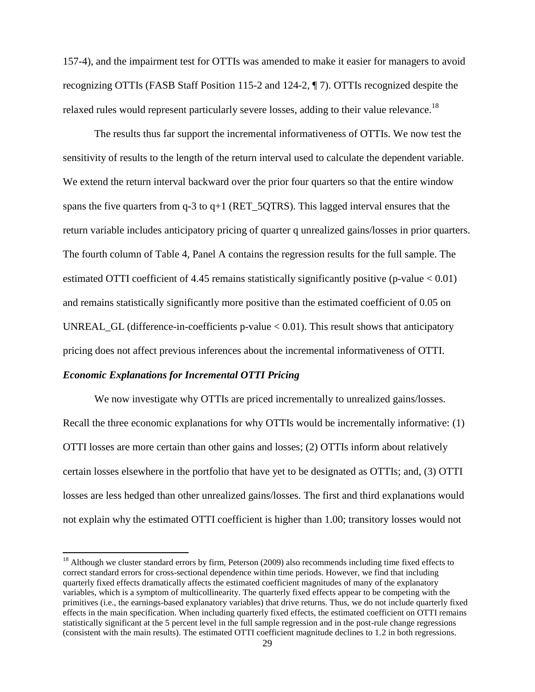157-4), and the impairment test for OTTIs was amended to make it easier for managers to avoid recognizing OTTIs (FASB Staff Position 115-2 and 124-2, ¶ 7). OTTIs recognized despite the relaxed rules would represent particularly severe losses, adding to their value relevance.<sup>18</sup>

The results thus far support the incremental informativeness of OTTIs. We now test the sensitivity of results to the length of the return interval used to calculate the dependent variable. We extend the return interval backward over the prior four quarters so that the entire window spans the five quarters from q-3 to q+1 (RET\_5QTRS). This lagged interval ensures that the return variable includes anticipatory pricing of quarter q unrealized gains/losses in prior quarters. The fourth column of Table 4, Panel A contains the regression results for the full sample. The estimated OTTI coefficient of 4.45 remains statistically significantly positive (p-value < 0.01) and remains statistically significantly more positive than the estimated coefficient of 0.05 on UNREAL\_GL (difference-in-coefficients p-value < 0.01). This result shows that anticipatory pricing does not affect previous inferences about the incremental informativeness of OTTI.

# *Economic Explanations for Incremental OTTI Pricing*

l

We now investigate why OTTIs are priced incrementally to unrealized gains/losses. Recall the three economic explanations for why OTTIs would be incrementally informative: (1) OTTI losses are more certain than other gains and losses; (2) OTTIs inform about relatively certain losses elsewhere in the portfolio that have yet to be designated as OTTIs; and, (3) OTTI losses are less hedged than other unrealized gains/losses. The first and third explanations would not explain why the estimated OTTI coefficient is higher than 1.00; transitory losses would not

<sup>&</sup>lt;sup>18</sup> Although we cluster standard errors by firm, Peterson (2009) also recommends including time fixed effects to correct standard errors for cross-sectional dependence within time periods. However, we find that including quarterly fixed effects dramatically affects the estimated coefficient magnitudes of many of the explanatory variables, which is a symptom of multicollinearity. The quarterly fixed effects appear to be competing with the primitives (i.e., the earnings-based explanatory variables) that drive returns. Thus, we do not include quarterly fixed effects in the main specification. When including quarterly fixed effects, the estimated coefficient on OTTI remains statistically significant at the 5 percent level in the full sample regression and in the post-rule change regressions (consistent with the main results). The estimated OTTI coefficient magnitude declines to 1.2 in both regressions.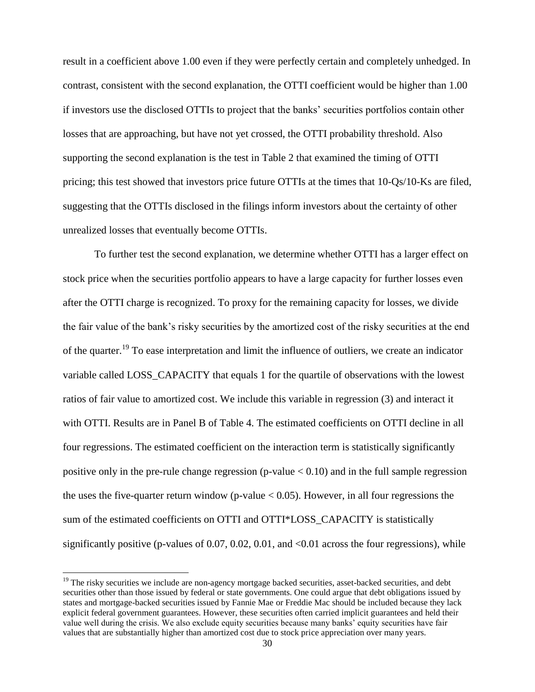result in a coefficient above 1.00 even if they were perfectly certain and completely unhedged. In contrast, consistent with the second explanation, the OTTI coefficient would be higher than 1.00 if investors use the disclosed OTTIs to project that the banks' securities portfolios contain other losses that are approaching, but have not yet crossed, the OTTI probability threshold. Also supporting the second explanation is the test in Table 2 that examined the timing of OTTI pricing; this test showed that investors price future OTTIs at the times that 10-Qs/10-Ks are filed, suggesting that the OTTIs disclosed in the filings inform investors about the certainty of other unrealized losses that eventually become OTTIs.

To further test the second explanation, we determine whether OTTI has a larger effect on stock price when the securities portfolio appears to have a large capacity for further losses even after the OTTI charge is recognized. To proxy for the remaining capacity for losses, we divide the fair value of the bank's risky securities by the amortized cost of the risky securities at the end of the quarter.<sup>19</sup> To ease interpretation and limit the influence of outliers, we create an indicator variable called LOSS\_CAPACITY that equals 1 for the quartile of observations with the lowest ratios of fair value to amortized cost. We include this variable in regression (3) and interact it with OTTI. Results are in Panel B of Table 4. The estimated coefficients on OTTI decline in all four regressions. The estimated coefficient on the interaction term is statistically significantly positive only in the pre-rule change regression (p-value  $< 0.10$ ) and in the full sample regression the uses the five-quarter return window (p-value  $< 0.05$ ). However, in all four regressions the sum of the estimated coefficients on OTTI and OTTI\*LOSS\_CAPACITY is statistically significantly positive (p-values of  $0.07, 0.02, 0.01$ , and  $\langle 0.01 \rangle$  across the four regressions), while

 $\overline{\phantom{a}}$ 

<sup>&</sup>lt;sup>19</sup> The risky securities we include are non-agency mortgage backed securities, asset-backed securities, and debt securities other than those issued by federal or state governments. One could argue that debt obligations issued by states and mortgage-backed securities issued by Fannie Mae or Freddie Mac should be included because they lack explicit federal government guarantees. However, these securities often carried implicit guarantees and held their value well during the crisis. We also exclude equity securities because many banks' equity securities have fair values that are substantially higher than amortized cost due to stock price appreciation over many years.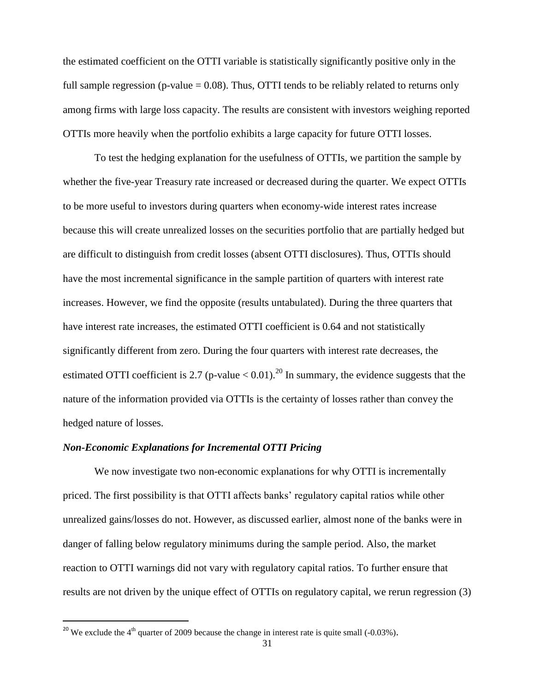the estimated coefficient on the OTTI variable is statistically significantly positive only in the full sample regression (p-value  $= 0.08$ ). Thus, OTTI tends to be reliably related to returns only among firms with large loss capacity. The results are consistent with investors weighing reported OTTIs more heavily when the portfolio exhibits a large capacity for future OTTI losses.

To test the hedging explanation for the usefulness of OTTIs, we partition the sample by whether the five-year Treasury rate increased or decreased during the quarter. We expect OTTIs to be more useful to investors during quarters when economy-wide interest rates increase because this will create unrealized losses on the securities portfolio that are partially hedged but are difficult to distinguish from credit losses (absent OTTI disclosures). Thus, OTTIs should have the most incremental significance in the sample partition of quarters with interest rate increases. However, we find the opposite (results untabulated). During the three quarters that have interest rate increases, the estimated OTTI coefficient is 0.64 and not statistically significantly different from zero. During the four quarters with interest rate decreases, the estimated OTTI coefficient is 2.7 (p-value  $< 0.01$ ).<sup>20</sup> In summary, the evidence suggests that the nature of the information provided via OTTIs is the certainty of losses rather than convey the hedged nature of losses.

### *Non-Economic Explanations for Incremental OTTI Pricing*

 $\overline{\phantom{a}}$ 

We now investigate two non-economic explanations for why OTTI is incrementally priced. The first possibility is that OTTI affects banks' regulatory capital ratios while other unrealized gains/losses do not. However, as discussed earlier, almost none of the banks were in danger of falling below regulatory minimums during the sample period. Also, the market reaction to OTTI warnings did not vary with regulatory capital ratios. To further ensure that results are not driven by the unique effect of OTTIs on regulatory capital, we rerun regression (3)

<sup>&</sup>lt;sup>20</sup> We exclude the 4<sup>th</sup> quarter of 2009 because the change in interest rate is quite small (-0.03%).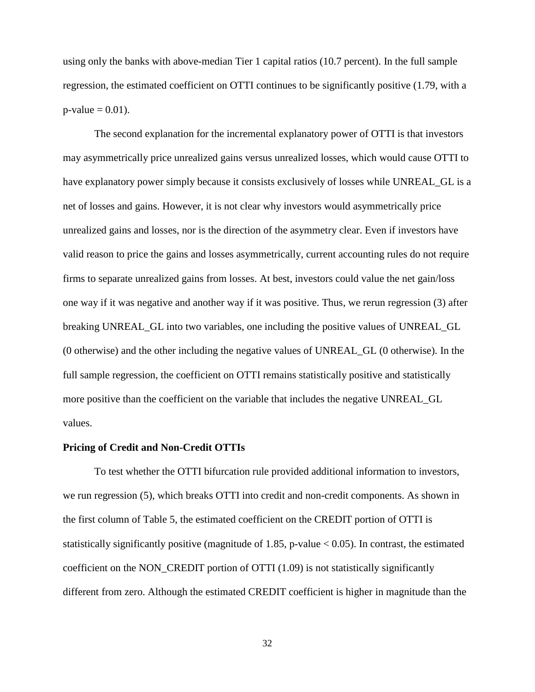using only the banks with above-median Tier 1 capital ratios (10.7 percent). In the full sample regression, the estimated coefficient on OTTI continues to be significantly positive (1.79, with a  $p$ -value = 0.01).

The second explanation for the incremental explanatory power of OTTI is that investors may asymmetrically price unrealized gains versus unrealized losses, which would cause OTTI to have explanatory power simply because it consists exclusively of losses while UNREAL\_GL is a net of losses and gains. However, it is not clear why investors would asymmetrically price unrealized gains and losses, nor is the direction of the asymmetry clear. Even if investors have valid reason to price the gains and losses asymmetrically, current accounting rules do not require firms to separate unrealized gains from losses. At best, investors could value the net gain/loss one way if it was negative and another way if it was positive. Thus, we rerun regression (3) after breaking UNREAL\_GL into two variables, one including the positive values of UNREAL\_GL (0 otherwise) and the other including the negative values of UNREAL\_GL (0 otherwise). In the full sample regression, the coefficient on OTTI remains statistically positive and statistically more positive than the coefficient on the variable that includes the negative UNREAL\_GL values.

# **Pricing of Credit and Non-Credit OTTIs**

To test whether the OTTI bifurcation rule provided additional information to investors, we run regression (5), which breaks OTTI into credit and non-credit components. As shown in the first column of Table 5, the estimated coefficient on the CREDIT portion of OTTI is statistically significantly positive (magnitude of 1.85, p-value  $< 0.05$ ). In contrast, the estimated coefficient on the NON CREDIT portion of OTTI  $(1.09)$  is not statistically significantly different from zero. Although the estimated CREDIT coefficient is higher in magnitude than the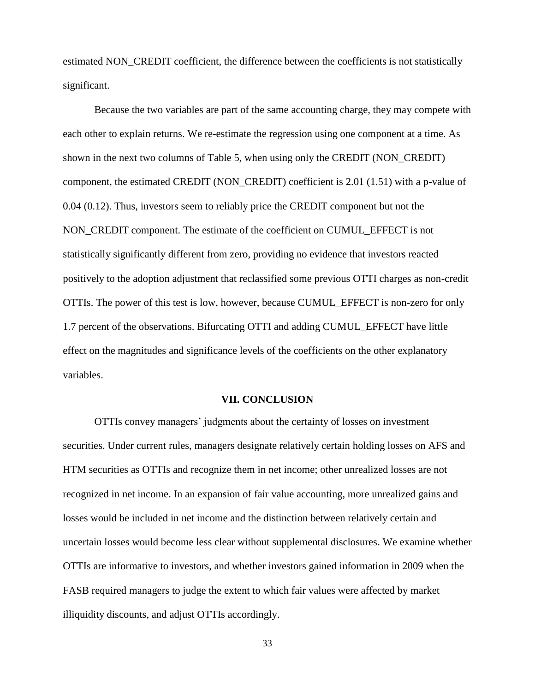estimated NON\_CREDIT coefficient, the difference between the coefficients is not statistically significant.

Because the two variables are part of the same accounting charge, they may compete with each other to explain returns. We re-estimate the regression using one component at a time. As shown in the next two columns of Table 5, when using only the CREDIT (NON\_CREDIT) component, the estimated CREDIT (NON\_CREDIT) coefficient is 2.01 (1.51) with a p-value of 0.04 (0.12). Thus, investors seem to reliably price the CREDIT component but not the NON\_CREDIT component. The estimate of the coefficient on CUMUL\_EFFECT is not statistically significantly different from zero, providing no evidence that investors reacted positively to the adoption adjustment that reclassified some previous OTTI charges as non-credit OTTIs. The power of this test is low, however, because CUMUL\_EFFECT is non-zero for only 1.7 percent of the observations. Bifurcating OTTI and adding CUMUL\_EFFECT have little effect on the magnitudes and significance levels of the coefficients on the other explanatory variables.

#### **VII. CONCLUSION**

OTTIs convey managers' judgments about the certainty of losses on investment securities. Under current rules, managers designate relatively certain holding losses on AFS and HTM securities as OTTIs and recognize them in net income; other unrealized losses are not recognized in net income. In an expansion of fair value accounting, more unrealized gains and losses would be included in net income and the distinction between relatively certain and uncertain losses would become less clear without supplemental disclosures. We examine whether OTTIs are informative to investors, and whether investors gained information in 2009 when the FASB required managers to judge the extent to which fair values were affected by market illiquidity discounts, and adjust OTTIs accordingly.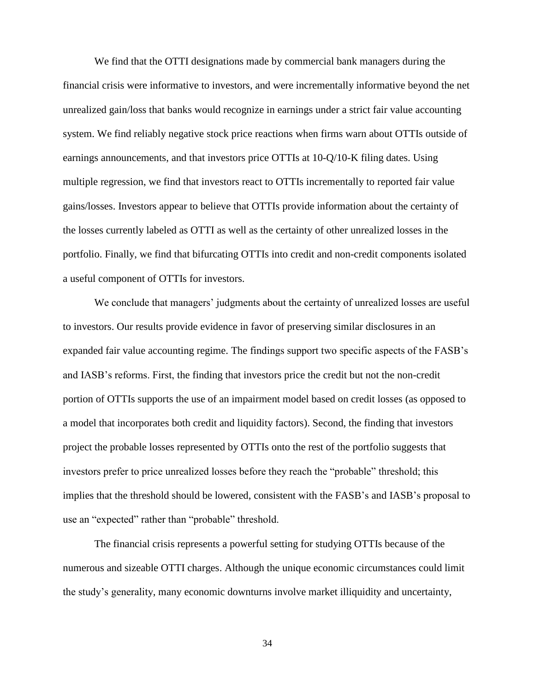We find that the OTTI designations made by commercial bank managers during the financial crisis were informative to investors, and were incrementally informative beyond the net unrealized gain/loss that banks would recognize in earnings under a strict fair value accounting system. We find reliably negative stock price reactions when firms warn about OTTIs outside of earnings announcements, and that investors price OTTIs at 10-Q/10-K filing dates. Using multiple regression, we find that investors react to OTTIs incrementally to reported fair value gains/losses. Investors appear to believe that OTTIs provide information about the certainty of the losses currently labeled as OTTI as well as the certainty of other unrealized losses in the portfolio. Finally, we find that bifurcating OTTIs into credit and non-credit components isolated a useful component of OTTIs for investors.

We conclude that managers' judgments about the certainty of unrealized losses are useful to investors. Our results provide evidence in favor of preserving similar disclosures in an expanded fair value accounting regime. The findings support two specific aspects of the FASB's and IASB's reforms. First, the finding that investors price the credit but not the non-credit portion of OTTIs supports the use of an impairment model based on credit losses (as opposed to a model that incorporates both credit and liquidity factors). Second, the finding that investors project the probable losses represented by OTTIs onto the rest of the portfolio suggests that investors prefer to price unrealized losses before they reach the "probable" threshold; this implies that the threshold should be lowered, consistent with the FASB's and IASB's proposal to use an "expected" rather than "probable" threshold.

The financial crisis represents a powerful setting for studying OTTIs because of the numerous and sizeable OTTI charges. Although the unique economic circumstances could limit the study's generality, many economic downturns involve market illiquidity and uncertainty,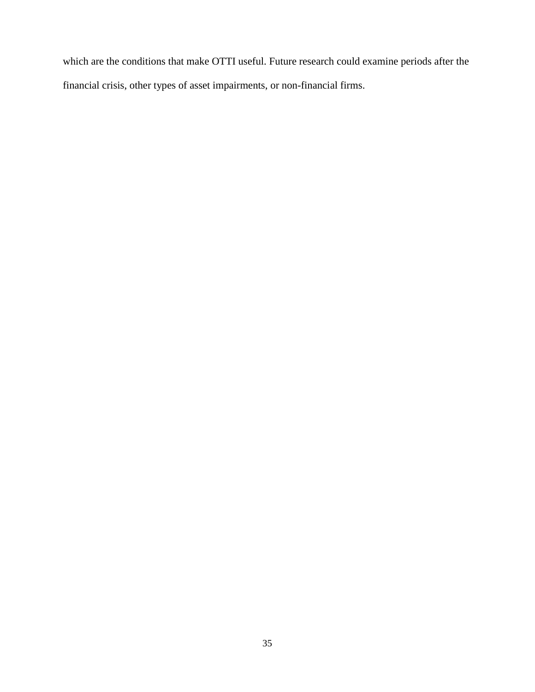which are the conditions that make OTTI useful. Future research could examine periods after the financial crisis, other types of asset impairments, or non-financial firms.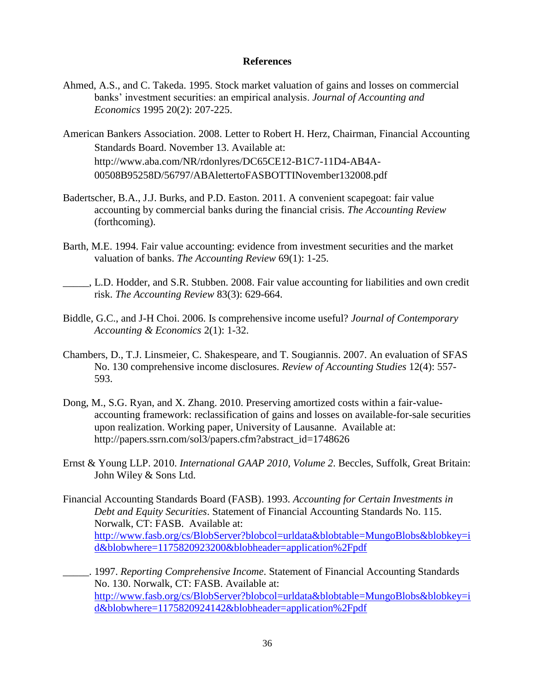### **References**

- Ahmed, A.S., and C. Takeda. 1995. Stock market valuation of gains and losses on commercial banks' investment securities: an empirical analysis. *Journal of Accounting and Economics* 1995 20(2): 207-225.
- American Bankers Association. 2008. Letter to Robert H. Herz, Chairman, Financial Accounting Standards Board. November 13. Available at: http://www.aba.com/NR/rdonlyres/DC65CE12-B1C7-11D4-AB4A-00508B95258D/56797/ABAlettertoFASBOTTINovember132008.pdf
- Badertscher, B.A., J.J. Burks, and P.D. Easton. 2011. A convenient scapegoat: fair value accounting by commercial banks during the financial crisis. *The Accounting Review* (forthcoming).
- Barth, M.E. 1994. Fair value accounting: evidence from investment securities and the market valuation of banks. *The Accounting Review* 69(1): 1-25.
- \_\_\_\_\_, L.D. Hodder, and S.R. Stubben. 2008. Fair value accounting for liabilities and own credit risk. *The Accounting Review* 83(3): 629-664.
- Biddle, G.C., and J-H Choi. 2006. Is comprehensive income useful? *Journal of Contemporary Accounting & Economics* 2(1): 1-32.
- Chambers, D., T.J. Linsmeier, C. Shakespeare, and T. Sougiannis. 2007. An evaluation of SFAS No. 130 comprehensive income disclosures. *Review of Accounting Studies* 12(4): 557- 593.
- Dong, M., S.G. Ryan, and X. Zhang. 2010. Preserving amortized costs within a fair-valueaccounting framework: reclassification of gains and losses on available-for-sale securities upon realization. Working paper, University of Lausanne. Available at: http://papers.ssrn.com/sol3/papers.cfm?abstract\_id=1748626
- Ernst & Young LLP. 2010. *International GAAP 2010, Volume 2*. Beccles, Suffolk, Great Britain: John Wiley & Sons Ltd.
- Financial Accounting Standards Board (FASB). 1993. *Accounting for Certain Investments in Debt and Equity Securities*. Statement of Financial Accounting Standards No. 115. Norwalk, CT: FASB. Available at: [http://www.fasb.org/cs/BlobServer?blobcol=urldata&blobtable=MungoBlobs&blobkey=i](http://www.fasb.org/cs/BlobServer?blobcol=urldata&blobtable=MungoBlobs&blobkey=id&blobwhere=1175820923200&blobheader=application%2Fpdf) [d&blobwhere=1175820923200&blobheader=application%2Fpdf](http://www.fasb.org/cs/BlobServer?blobcol=urldata&blobtable=MungoBlobs&blobkey=id&blobwhere=1175820923200&blobheader=application%2Fpdf)
- \_\_\_\_\_. 1997. *Reporting Comprehensive Income*. Statement of Financial Accounting Standards No. 130. Norwalk, CT: FASB. Available at: [http://www.fasb.org/cs/BlobServer?blobcol=urldata&blobtable=MungoBlobs&blobkey=i](http://www.fasb.org/cs/BlobServer?blobcol=urldata&blobtable=MungoBlobs&blobkey=id&blobwhere=1175820924142&blobheader=application%2Fpdf) [d&blobwhere=1175820924142&blobheader=application%2Fpdf](http://www.fasb.org/cs/BlobServer?blobcol=urldata&blobtable=MungoBlobs&blobkey=id&blobwhere=1175820924142&blobheader=application%2Fpdf)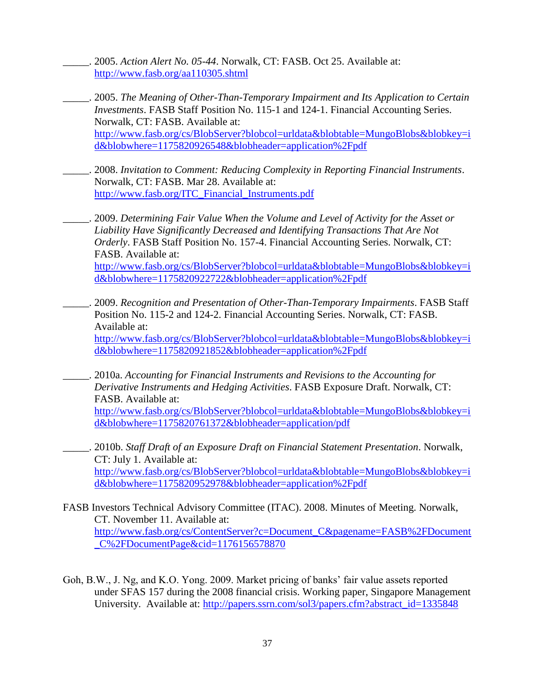\_\_\_\_\_. 2005. *Action Alert No. 05-44*. Norwalk, CT: FASB. Oct 25. Available at: <http://www.fasb.org/aa110305.shtml>

- \_\_\_\_\_. 2005. *The Meaning of Other-Than-Temporary Impairment and Its Application to Certain Investments*. FASB Staff Position No. 115-1 and 124-1. Financial Accounting Series. Norwalk, CT: FASB. Available at: [http://www.fasb.org/cs/BlobServer?blobcol=urldata&blobtable=MungoBlobs&blobkey=i](http://www.fasb.org/cs/BlobServer?blobcol=urldata&blobtable=MungoBlobs&blobkey=id&blobwhere=1175820926548&blobheader=application%2Fpdf) [d&blobwhere=1175820926548&blobheader=application%2Fpdf](http://www.fasb.org/cs/BlobServer?blobcol=urldata&blobtable=MungoBlobs&blobkey=id&blobwhere=1175820926548&blobheader=application%2Fpdf)
- \_\_\_\_\_. 2008. *Invitation to Comment: Reducing Complexity in Reporting Financial Instruments*. Norwalk, CT: FASB. Mar 28. Available at: [http://www.fasb.org/ITC\\_Financial\\_Instruments.pdf](http://www.fasb.org/ITC_Financial_Instruments.pdf)
- \_\_\_\_\_. 2009. *Determining Fair Value When the Volume and Level of Activity for the Asset or Liability Have Significantly Decreased and Identifying Transactions That Are Not Orderly*. FASB Staff Position No. 157-4. Financial Accounting Series. Norwalk, CT: FASB. Available at: [http://www.fasb.org/cs/BlobServer?blobcol=urldata&blobtable=MungoBlobs&blobkey=i](http://www.fasb.org/cs/BlobServer?blobcol=urldata&blobtable=MungoBlobs&blobkey=id&blobwhere=1175820922722&blobheader=application%2Fpdf) [d&blobwhere=1175820922722&blobheader=application%2Fpdf](http://www.fasb.org/cs/BlobServer?blobcol=urldata&blobtable=MungoBlobs&blobkey=id&blobwhere=1175820922722&blobheader=application%2Fpdf)
- \_\_\_\_\_. 2009. *Recognition and Presentation of Other-Than-Temporary Impairments*. FASB Staff Position No. 115-2 and 124-2. Financial Accounting Series. Norwalk, CT: FASB. Available at: [http://www.fasb.org/cs/BlobServer?blobcol=urldata&blobtable=MungoBlobs&blobkey=i](http://www.fasb.org/cs/BlobServer?blobcol=urldata&blobtable=MungoBlobs&blobkey=id&blobwhere=1175820921852&blobheader=application%2Fpdf) [d&blobwhere=1175820921852&blobheader=application%2Fpdf](http://www.fasb.org/cs/BlobServer?blobcol=urldata&blobtable=MungoBlobs&blobkey=id&blobwhere=1175820921852&blobheader=application%2Fpdf)
- \_\_\_\_\_. 2010a. *Accounting for Financial Instruments and Revisions to the Accounting for Derivative Instruments and Hedging Activities*. FASB Exposure Draft. Norwalk, CT: FASB. Available at: [http://www.fasb.org/cs/BlobServer?blobcol=urldata&blobtable=MungoBlobs&blobkey=i](http://www.fasb.org/cs/BlobServer?blobcol=urldata&blobtable=MungoBlobs&blobkey=id&blobwhere=1175820761372&blobheader=application/pdf) [d&blobwhere=1175820761372&blobheader=application/pdf](http://www.fasb.org/cs/BlobServer?blobcol=urldata&blobtable=MungoBlobs&blobkey=id&blobwhere=1175820761372&blobheader=application/pdf)
- \_\_\_\_\_. 2010b. *Staff Draft of an Exposure Draft on Financial Statement Presentation*. Norwalk, CT: July 1. Available at: [http://www.fasb.org/cs/BlobServer?blobcol=urldata&blobtable=MungoBlobs&blobkey=i](http://www.fasb.org/cs/BlobServer?blobcol=urldata&blobtable=MungoBlobs&blobkey=id&blobwhere=1175820952978&blobheader=application%2Fpdf) [d&blobwhere=1175820952978&blobheader=application%2Fpdf](http://www.fasb.org/cs/BlobServer?blobcol=urldata&blobtable=MungoBlobs&blobkey=id&blobwhere=1175820952978&blobheader=application%2Fpdf)
- FASB Investors Technical Advisory Committee (ITAC). 2008. Minutes of Meeting. Norwalk, CT. November 11. Available at: [http://www.fasb.org/cs/ContentServer?c=Document\\_C&pagename=FASB%2FDocument](http://www.fasb.org/cs/ContentServer?c=Document_C&pagename=FASB%2FDocument_C%2FDocumentPage&cid=1176156578870) [\\_C%2FDocumentPage&cid=1176156578870](http://www.fasb.org/cs/ContentServer?c=Document_C&pagename=FASB%2FDocument_C%2FDocumentPage&cid=1176156578870)
- Goh, B.W., J. Ng, and K.O. Yong. 2009. Market pricing of banks' fair value assets reported under SFAS 157 during the 2008 financial crisis. Working paper, Singapore Management University. Available at: [http://papers.ssrn.com/sol3/papers.cfm?abstract\\_id=1335848](http://papers.ssrn.com/sol3/papers.cfm?abstract_id=1335848)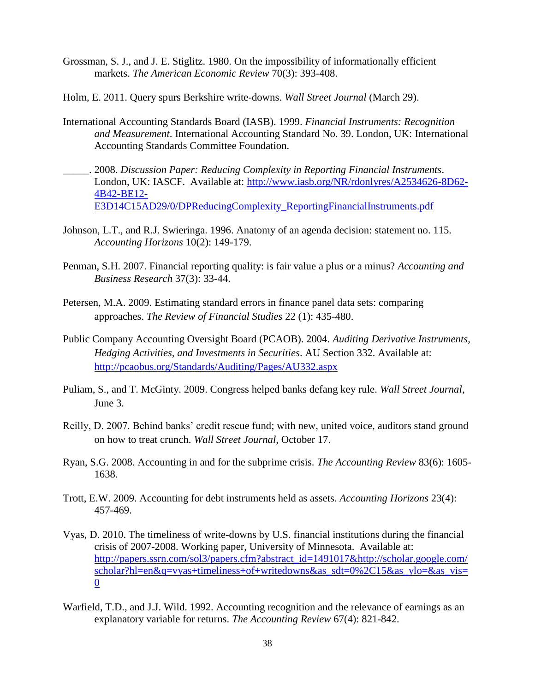- Grossman, S. J., and J. E. Stiglitz. 1980. On the impossibility of informationally efficient markets. *The American Economic Review* 70(3): 393-408.
- Holm, E. 2011. Query spurs Berkshire write-downs. *Wall Street Journal* (March 29).
- International Accounting Standards Board (IASB). 1999. *Financial Instruments: Recognition and Measurement*. International Accounting Standard No. 39. London, UK: International Accounting Standards Committee Foundation.
- \_\_\_\_\_. 2008. *Discussion Paper: Reducing Complexity in Reporting Financial Instruments*. London, UK: IASCF. Available at: [http://www.iasb.org/NR/rdonlyres/A2534626-8D62-](http://www.iasb.org/NR/rdonlyres/A2534626-8D62-4B42-BE12-E3D14C15AD29/0/DPReducingComplexity_ReportingFinancialInstruments.pdf) [4B42-BE12-](http://www.iasb.org/NR/rdonlyres/A2534626-8D62-4B42-BE12-E3D14C15AD29/0/DPReducingComplexity_ReportingFinancialInstruments.pdf) [E3D14C15AD29/0/DPReducingComplexity\\_ReportingFinancialInstruments.pdf](http://www.iasb.org/NR/rdonlyres/A2534626-8D62-4B42-BE12-E3D14C15AD29/0/DPReducingComplexity_ReportingFinancialInstruments.pdf)
- Johnson, L.T., and R.J. Swieringa. 1996. Anatomy of an agenda decision: statement no. 115. *Accounting Horizons* 10(2): 149-179.
- Penman, S.H. 2007. Financial reporting quality: is fair value a plus or a minus? *Accounting and Business Research* 37(3): 33-44.
- Petersen, M.A. 2009. Estimating standard errors in finance panel data sets: comparing approaches. *The Review of Financial Studies* 22 (1): 435-480.
- Public Company Accounting Oversight Board (PCAOB). 2004. *Auditing Derivative Instruments, Hedging Activities, and Investments in Securities*. AU Section 332. Available at: <http://pcaobus.org/Standards/Auditing/Pages/AU332.aspx>
- Puliam, S., and T. McGinty. 2009. Congress helped banks defang key rule. *Wall Street Journal*, June 3.
- Reilly, D. 2007. Behind banks' credit rescue fund; with new, united voice, auditors stand ground on how to treat crunch. *Wall Street Journal,* October 17.
- Ryan, S.G. 2008. Accounting in and for the subprime crisis. *The Accounting Review* 83(6): 1605- 1638.
- Trott, E.W. 2009. Accounting for debt instruments held as assets. *Accounting Horizons* 23(4): 457-469.
- Vyas, D. 2010. The timeliness of write-downs by U.S. financial institutions during the financial crisis of 2007-2008. Working paper, University of Minnesota. Available at: [http://papers.ssrn.com/sol3/papers.cfm?abstract\\_id=1491017&http://scholar.google.com/](http://papers.ssrn.com/sol3/papers.cfm?abstract_id=1491017&http://scholar.google.com/scholar?hl=en&q=vyas+timeliness+of+writedowns&as_sdt=0%2C15&as_ylo=&as_vis=0) [scholar?hl=en&q=vyas+timeliness+of+writedowns&as\\_sdt=0%2C15&as\\_ylo=&as\\_vis=](http://papers.ssrn.com/sol3/papers.cfm?abstract_id=1491017&http://scholar.google.com/scholar?hl=en&q=vyas+timeliness+of+writedowns&as_sdt=0%2C15&as_ylo=&as_vis=0)  $\mathbf{0}$  $\mathbf{0}$  $\mathbf{0}$
- Warfield, T.D., and J.J. Wild. 1992. Accounting recognition and the relevance of earnings as an explanatory variable for returns. *The Accounting Review* 67(4): 821-842.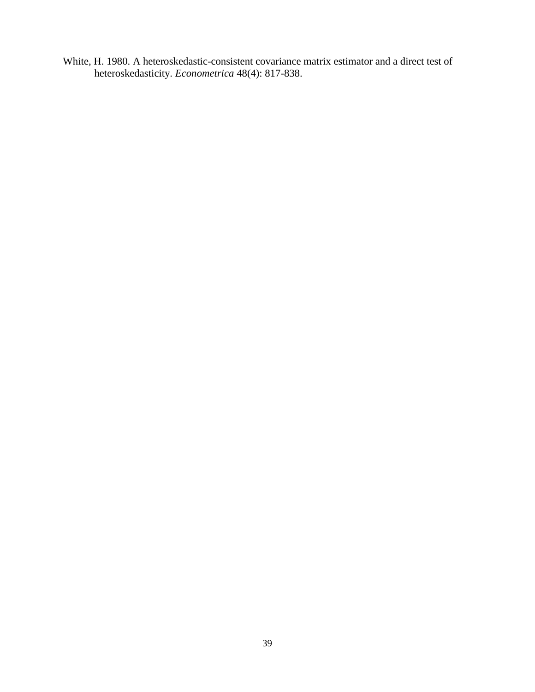White, H. 1980. A heteroskedastic-consistent covariance matrix estimator and a direct test of heteroskedasticity. *Econometrica* 48(4): 817-838.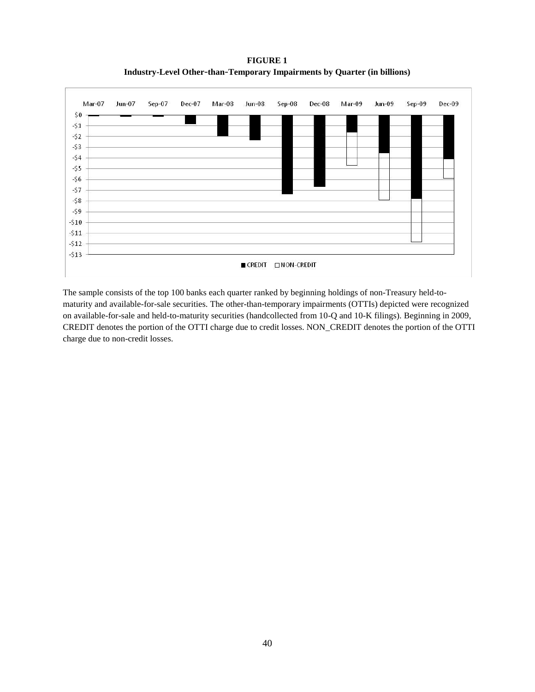**FIGURE 1 Industry-Level Other**-**than**-**Temporary Impairments by Quarter (in billions)**



The sample consists of the top 100 banks each quarter ranked by beginning holdings of non-Treasury held-tomaturity and available-for-sale securities. The other-than-temporary impairments (OTTIs) depicted were recognized on available-for-sale and held-to-maturity securities (handcollected from 10-Q and 10-K filings). Beginning in 2009, CREDIT denotes the portion of the OTTI charge due to credit losses. NON\_CREDIT denotes the portion of the OTTI charge due to non-credit losses.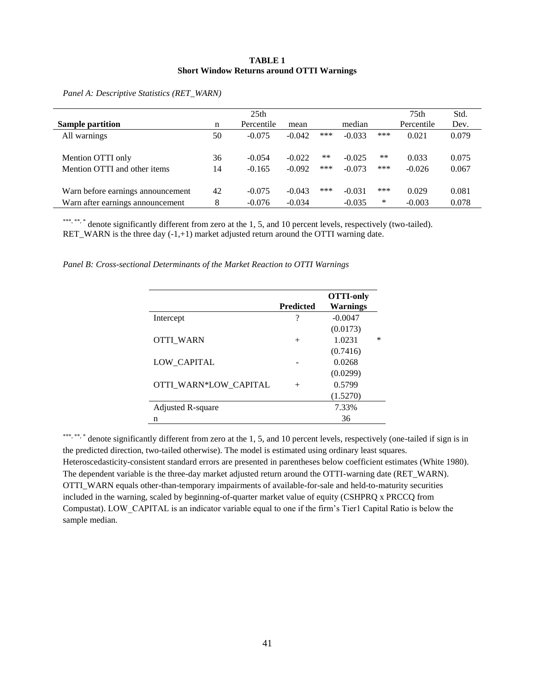#### **TABLE 1 Short Window Returns around OTTI Warnings**

| <b>Sample partition</b>           | n  | 25 <sub>th</sub><br>Percentile | mean     |     | median   |       | 75 <sub>th</sub><br>Percentile | Std.<br>Dev. |
|-----------------------------------|----|--------------------------------|----------|-----|----------|-------|--------------------------------|--------------|
| All warnings                      | 50 | $-0.075$                       | $-0.042$ | *** | $-0.033$ | ***   | 0.021                          | 0.079        |
| Mention OTTI only                 | 36 | $-0.054$                       | $-0.022$ | **  | $-0.025$ | $***$ | 0.033                          | 0.075        |
| Mention OTTI and other items      | 14 | $-0.165$                       | $-0.092$ | *** | $-0.073$ | ***   | $-0.026$                       | 0.067        |
| Warn before earnings announcement | 42 | $-0.075$                       | $-0.043$ | *** | $-0.031$ | ***   | 0.029                          | 0.081        |
| Warn after earnings announcement  | 8  | $-0.076$                       | $-0.034$ |     | $-0.035$ | ∗     | $-0.003$                       | 0.078        |

*Panel A: Descriptive Statistics (RET\_WARN)*

\*\*\*, \*\*, \*\* denote significantly different from zero at the 1, 5, and 10 percent levels, respectively (two-tailed). RET\_WARN is the three day (-1,+1) market adjusted return around the OTTI warning date.

*Panel B: Cross-sectional Determinants of the Market Reaction to OTTI Warnings*

|                       | <b>Predicted</b> | <b>OTTI-only</b><br><b>Warnings</b> |   |
|-----------------------|------------------|-------------------------------------|---|
| Intercept             | ?                | $-0.0047$                           |   |
|                       |                  | (0.0173)                            |   |
| <b>OTTI WARN</b>      | $^{+}$           | 1.0231                              | ∗ |
|                       |                  | (0.7416)                            |   |
| LOW CAPITAL           |                  | 0.0268                              |   |
|                       |                  | (0.0299)                            |   |
| OTTI WARN*LOW CAPITAL | $^{+}$           | 0.5799                              |   |
|                       |                  | (1.5270)                            |   |
| Adjusted R-square     |                  | 7.33%                               |   |
| n                     |                  | 36                                  |   |

\*\*\*, \*\*, \*\* denote significantly different from zero at the 1, 5, and 10 percent levels, respectively (one-tailed if sign is in the predicted direction, two-tailed otherwise). The model is estimated using ordinary least squares. Heteroscedasticity-consistent standard errors are presented in parentheses below coefficient estimates (White 1980). The dependent variable is the three-day market adjusted return around the OTTI-warning date (RET\_WARN). OTTI\_WARN equals other-than-temporary impairments of available-for-sale and held-to-maturity securities included in the warning, scaled by beginning-of-quarter market value of equity (CSHPRQ x PRCCQ from Compustat). LOW\_CAPITAL is an indicator variable equal to one if the firm's Tier1 Capital Ratio is below the sample median.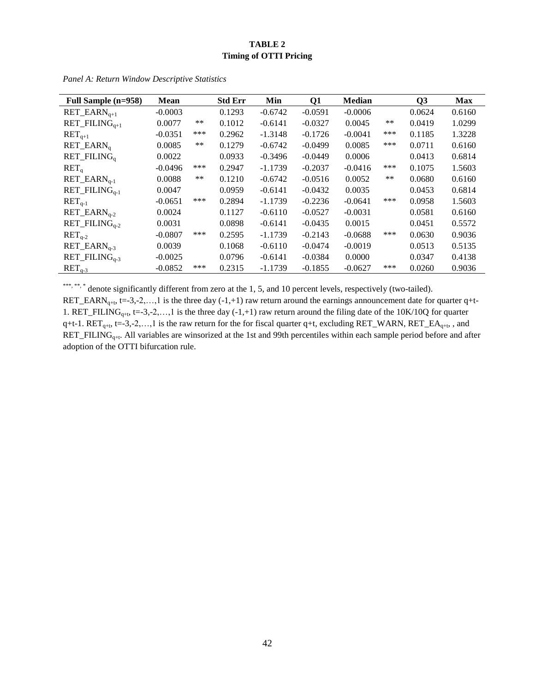# **TABLE 2 Timing of OTTI Pricing**

| Full Sample (n=958)                                           | <b>Mean</b> |       | <b>Std Err</b> | Min       | Q1        | <b>Median</b> |       | Q3     | <b>Max</b> |
|---------------------------------------------------------------|-------------|-------|----------------|-----------|-----------|---------------|-------|--------|------------|
| $RET\_EARN_{q+1}$                                             | $-0.0003$   |       | 0.1293         | $-0.6742$ | $-0.0591$ | $-0.0006$     |       | 0.0624 | 0.6160     |
| $RET$ <sub>-FILING<sub><math>a+1</math></sub></sub>           | 0.0077      | $***$ | 0.1012         | $-0.6141$ | $-0.0327$ | 0.0045        | $**$  | 0.0419 | 1.0299     |
| $RETq+1$                                                      | $-0.0351$   | ***   | 0.2962         | $-1.3148$ | $-0.1726$ | $-0.0041$     | ***   | 0.1185 | 1.3228     |
| $RET$ _EARN <sub>a</sub>                                      | 0.0085      | $***$ | 0.1279         | $-0.6742$ | $-0.0499$ | 0.0085        | ***   | 0.0711 | 0.6160     |
| RET_FILING <sub>a</sub>                                       | 0.0022      |       | 0.0933         | $-0.3496$ | $-0.0449$ | 0.0006        |       | 0.0413 | 0.6814     |
| RET <sub>a</sub>                                              | $-0.0496$   | ***   | 0.2947         | $-1.1739$ | $-0.2037$ | $-0.0416$     | ***   | 0.1075 | 1.5603     |
| $RET$ _EAR $N_{q-1}$                                          | 0.0088      | $***$ | 0.1210         | $-0.6742$ | $-0.0516$ | 0.0052        | $***$ | 0.0680 | 0.6160     |
| $RET$ <sub>-FILING<sub><math>a-1</math></sub></sub>           | 0.0047      |       | 0.0959         | $-0.6141$ | $-0.0432$ | 0.0035        |       | 0.0453 | 0.6814     |
| $RETq-1$                                                      | $-0.0651$   | ***   | 0.2894         | $-1.1739$ | $-0.2236$ | $-0.0641$     | ***   | 0.0958 | 1.5603     |
| $RET$ _EARN <sub>q-2</sub>                                    | 0.0024      |       | 0.1127         | $-0.6110$ | $-0.0527$ | $-0.0031$     |       | 0.0581 | 0.6160     |
| $RET$ -FILING <sub><math>a-2</math></sub>                     | 0.0031      |       | 0.0898         | $-0.6141$ | $-0.0435$ | 0.0015        |       | 0.0451 | 0.5572     |
| $RETq-2$                                                      | $-0.0807$   | ***   | 0.2595         | $-1.1739$ | $-0.2143$ | $-0.0688$     | ***   | 0.0630 | 0.9036     |
| $RET$ <sub><math>EARN</math><sub><math>a-3</math></sub></sub> | 0.0039      |       | 0.1068         | $-0.6110$ | $-0.0474$ | $-0.0019$     |       | 0.0513 | 0.5135     |
| $RET$ -FILING <sub><math>a-3</math></sub>                     | $-0.0025$   |       | 0.0796         | $-0.6141$ | $-0.0384$ | 0.0000        |       | 0.0347 | 0.4138     |
| $RETq-3$                                                      | $-0.0852$   | ***   | 0.2315         | $-1.1739$ | $-0.1855$ | $-0.0627$     | ***   | 0.0260 | 0.9036     |

*Panel A: Return Window Descriptive Statistics*

\*\*\*, \*\*, \*\* denote significantly different from zero at the 1, 5, and 10 percent levels, respectively (two-tailed). RET\_EARN<sub>q+t</sub>, t=-3,-2,...,1 is the three day (-1,+1) raw return around the earnings announcement date for quarter q+t-1. RET\_FILING<sub>q+t</sub>, t=-3,-2,...,1 is the three day (-1,+1) raw return around the filing date of the 10K/10Q for quarter q+t-1.  $RET_{q+t}$ , t=-3,-2,...,1 is the raw return for the for fiscal quarter q+t, excluding  $RET_WARN$ ,  $RET_EA_{q+t}$ , and  $RET\_FILING_{q+t}$ . All variables are winsorized at the 1st and 99th percentiles within each sample period before and after adoption of the OTTI bifurcation rule.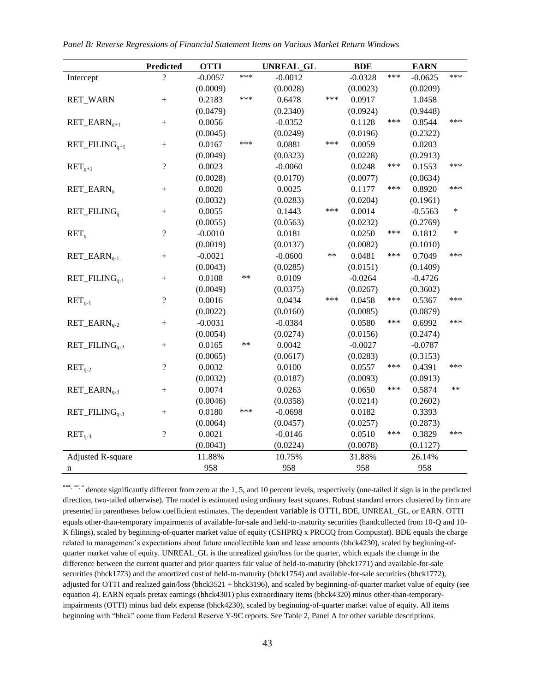|  | Panel B: Reverse Regressions of Financial Statement Items on Various Market Return Windows |  |  |
|--|--------------------------------------------------------------------------------------------|--|--|
|  |                                                                                            |  |  |

|                                                               | <b>Predicted</b>         | <b>OTTI</b> |       | <b>UNREAL GL</b> |            | <b>BDE</b> |     | <b>EARN</b> |        |
|---------------------------------------------------------------|--------------------------|-------------|-------|------------------|------------|------------|-----|-------------|--------|
| Intercept                                                     | $\gamma$                 | $-0.0057$   | ***   | $-0.0012$        |            | $-0.0328$  | *** | $-0.0625$   | ***    |
|                                                               |                          | (0.0009)    |       | (0.0028)         |            | (0.0023)   |     | (0.0209)    |        |
| RET_WARN                                                      |                          | 0.2183      | ***   | 0.6478           | ***        | 0.0917     |     | 1.0458      |        |
|                                                               |                          | (0.0479)    |       | (0.2340)         |            | (0.0924)   |     | (0.9448)    |        |
| $RET$ <sub>CARN<sub><math>a+1</math></sub></sub>              |                          | 0.0056      |       | $-0.0352$        |            | 0.1128     | *** | 0.8544      | ***    |
|                                                               |                          | (0.0045)    |       | (0.0249)         |            | (0.0196)   |     | (0.2322)    |        |
| $RET$ <sub>-FILING<sub><math>q+1</math></sub></sub>           |                          | 0.0167      | ***   | 0.0881           | ***        | 0.0059     |     | 0.0203      |        |
|                                                               |                          | (0.0049)    |       | (0.0323)         |            | (0.0228)   |     | (0.2913)    |        |
| $RET_{q+1}$                                                   | $\overline{\mathcal{L}}$ | 0.0023      |       | $-0.0060$        |            | 0.0248     | *** | 0.1553      | ***    |
|                                                               |                          | (0.0028)    |       | (0.0170)         |            | (0.0077)   |     | (0.0634)    |        |
| $RET$ _EARN <sub>a</sub>                                      | $^{+}$                   | 0.0020      |       | 0.0025           |            | 0.1177     | *** | 0.8920      | ***    |
|                                                               |                          | (0.0032)    |       | (0.0283)         |            | (0.0204)   |     | (0.1961)    |        |
| RET_FILING <sub>a</sub>                                       | $^{+}$                   | 0.0055      |       | 0.1443           | ***        | 0.0014     |     | $-0.5563$   | $\ast$ |
|                                                               |                          | (0.0055)    |       | (0.0563)         |            | (0.0232)   |     | (0.2769)    |        |
| RET <sub>a</sub>                                              | $\overline{\mathcal{L}}$ | $-0.0010$   |       | 0.0181           |            | 0.0250     | *** | 0.1812      | $\ast$ |
|                                                               |                          | (0.0019)    |       | (0.0137)         |            | (0.0082)   |     | (0.1010)    |        |
| $RET$ <sub><math>EARN</math><sub><math>q-1</math></sub></sub> | $^{+}$                   | $-0.0021$   |       | $-0.0600$        | $\ast\ast$ | 0.0481     | *** | 0.7049      | ***    |
|                                                               |                          | (0.0043)    |       | (0.0285)         |            | (0.0151)   |     | (0.1409)    |        |
| $RET$ <sub>-FILING<sub>q-1</sub></sub>                        | $^{+}$                   | 0.0108      | $***$ | 0.0109           |            | $-0.0264$  |     | $-0.4726$   |        |
|                                                               |                          | (0.0049)    |       | (0.0375)         |            | (0.0267)   |     | (0.3602)    |        |
| $RETq-1$                                                      | $\overline{\mathcal{L}}$ | 0.0016      |       | 0.0434           | ***        | 0.0458     | *** | 0.5367      | ***    |
|                                                               |                          | (0.0022)    |       | (0.0160)         |            | (0.0085)   |     | (0.0879)    |        |
| $RET$ <sub>G-2</sub>                                          | $^{+}$                   | $-0.0031$   |       | $-0.0384$        |            | 0.0580     | *** | 0.6992      | ***    |
|                                                               |                          | (0.0054)    |       | (0.0274)         |            | (0.0156)   |     | (0.2474)    |        |
| $RET$ <sub>-7</sub> $HLINGq-2$                                | $^{+}$                   | 0.0165      | $***$ | 0.0042           |            | $-0.0027$  |     | $-0.0787$   |        |
|                                                               |                          | (0.0065)    |       | (0.0617)         |            | (0.0283)   |     | (0.3153)    |        |
| $RETq-2$                                                      | $\overline{\mathcal{L}}$ | 0.0032      |       | 0.0100           |            | 0.0557     | *** | 0.4391      | ***    |
|                                                               |                          | (0.0032)    |       | (0.0187)         |            | (0.0093)   |     | (0.0913)    |        |
| $RET$ <sub>G-3</sub>                                          | $^{+}$                   | 0.0074      |       | 0.0263           |            | 0.0650     | *** | 0.5874      | **     |
|                                                               |                          | (0.0046)    |       | (0.0358)         |            | (0.0214)   |     | (0.2602)    |        |
| $RET$ _FILIN $G_{q-3}$                                        | $^{+}$                   | 0.0180      | ***   | $-0.0698$        |            | 0.0182     |     | 0.3393      |        |
|                                                               |                          | (0.0064)    |       | (0.0457)         |            | (0.0257)   |     | (0.2873)    |        |
| $RETq-3$                                                      | $\gamma$                 | 0.0021      |       | $-0.0146$        |            | 0.0510     | *** | 0.3829      | ***    |
|                                                               |                          | (0.0043)    |       | (0.0224)         |            | (0.0078)   |     | (0.1127)    |        |
| <b>Adjusted R-square</b>                                      |                          | 11.88%      |       | 10.75%           |            | 31.88%     |     | 26.14%      |        |
| n                                                             |                          | 958         |       | 958              |            | 958        |     | 958         |        |

\*\*\*, \*\*, \* denote significantly different from zero at the 1, 5, and 10 percent levels, respectively (one-tailed if sign is in the predicted direction, two-tailed otherwise). The model is estimated using ordinary least squares. Robust standard errors clustered by firm are presented in parentheses below coefficient estimates. The dependent variable is OTTI, BDE, UNREAL\_GL, or EARN. OTTI equals other-than-temporary impairments of available-for-sale and held-to-maturity securities (handcollected from 10-Q and 10- K filings), scaled by beginning-of-quarter market value of equity (CSHPRQ x PRCCQ from Compustat). BDE equals the charge related to management's expectations about future uncollectible loan and lease amounts (bhck4230), scaled by beginning-ofquarter market value of equity. UNREAL\_GL is the unrealized gain/loss for the quarter, which equals the change in the difference between the current quarter and prior quarters fair value of held-to-maturity (bhck1771) and available-for-sale securities (bhck1773) and the amortized cost of held-to-maturity (bhck1754) and available-for-sale securities (bhck1772), adjusted for OTTI and realized gain/loss (bhck3521 + bhck3196), and scaled by beginning-of-quarter market value of equity (see equation 4). EARN equals pretax earnings (bhck4301) plus extraordinary items (bhck4320) minus other-than-temporaryimpairments (OTTI) minus bad debt expense (bhck4230), scaled by beginning-of-quarter market value of equity. All items beginning with "bhck" come from Federal Reserve Y-9C reports. See Table 2, Panel A for other variable descriptions.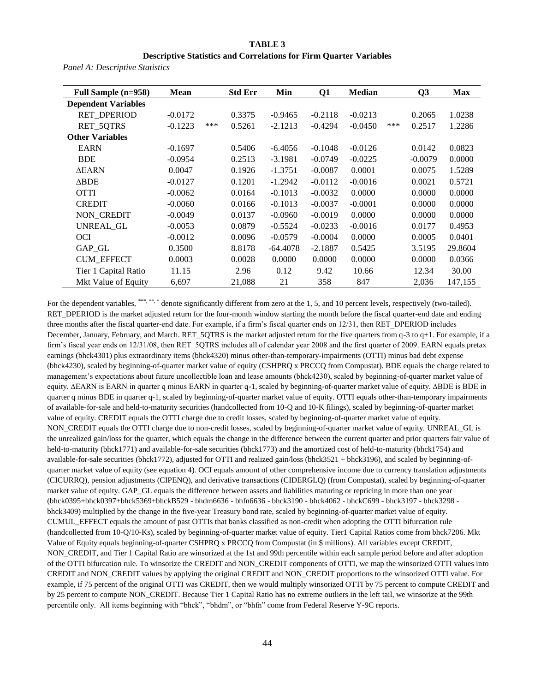#### **TABLE 3**

#### **Descriptive Statistics and Correlations for Firm Quarter Variables**

*Panel A: Descriptive Statistics* 

| Full Sample (n=958)        | <b>Mean</b> |     | <b>Std Err</b> | Min        | Q1        | <b>Median</b> |     | Q <sub>3</sub> | <b>Max</b> |
|----------------------------|-------------|-----|----------------|------------|-----------|---------------|-----|----------------|------------|
| <b>Dependent Variables</b> |             |     |                |            |           |               |     |                |            |
| <b>RET DPERIOD</b>         | $-0.0172$   |     | 0.3375         | $-0.9465$  | $-0.2118$ | $-0.0213$     |     | 0.2065         | 1.0238     |
| <b>RET 5QTRS</b>           | $-0.1223$   | *** | 0.5261         | $-2.1213$  | $-0.4294$ | $-0.0450$     | *** | 0.2517         | 1.2286     |
| <b>Other Variables</b>     |             |     |                |            |           |               |     |                |            |
| <b>EARN</b>                | $-0.1697$   |     | 0.5406         | $-6.4056$  | $-0.1048$ | $-0.0126$     |     | 0.0142         | 0.0823     |
| <b>BDE</b>                 | $-0.0954$   |     | 0.2513         | $-3.1981$  | $-0.0749$ | $-0.0225$     |     | $-0.0079$      | 0.0000     |
| <b>AEARN</b>               | 0.0047      |     | 0.1926         | $-1.3751$  | $-0.0087$ | 0.0001        |     | 0.0075         | 1.5289     |
| <b>ABDE</b>                | $-0.0127$   |     | 0.1201         | $-1.2942$  | $-0.0112$ | $-0.0016$     |     | 0.0021         | 0.5721     |
| <b>OTTI</b>                | $-0.0062$   |     | 0.0164         | $-0.1013$  | $-0.0032$ | 0.0000        |     | 0.0000         | 0.0000     |
| <b>CREDIT</b>              | $-0.0060$   |     | 0.0166         | $-0.1013$  | $-0.0037$ | $-0.0001$     |     | 0.0000         | 0.0000     |
| NON CREDIT                 | $-0.0049$   |     | 0.0137         | $-0.0960$  | $-0.0019$ | 0.0000        |     | 0.0000         | 0.0000     |
| UNREAL GL                  | $-0.0053$   |     | 0.0879         | $-0.5524$  | $-0.0233$ | $-0.0016$     |     | 0.0177         | 0.4953     |
| <b>OCI</b>                 | $-0.0012$   |     | 0.0096         | $-0.0579$  | $-0.0004$ | 0.0000        |     | 0.0005         | 0.0401     |
| GAP GL                     | 0.3500      |     | 8.8178         | $-64.4078$ | $-2.1887$ | 0.5425        |     | 3.5195         | 29.8604    |
| <b>CUM_EFFECT</b>          | 0.0003      |     | 0.0028         | 0.0000     | 0.0000    | 0.0000        |     | 0.0000         | 0.0366     |
| Tier 1 Capital Ratio       | 11.15       |     | 2.96           | 0.12       | 9.42      | 10.66         |     | 12.34          | 30.00      |
| Mkt Value of Equity        | 6,697       |     | 21,088         | 21         | 358       | 847           |     | 2,036          | 147,155    |

For the dependent variables, \*\*\*,\*\*,\* denote significantly different from zero at the 1, 5, and 10 percent levels, respectively (two-tailed). RET\_DPERIOD is the market adjusted return for the four-month window starting the month before the fiscal quarter-end date and ending three months after the fiscal quarter-end date. For example, if a firm's fiscal quarter ends on 12/31, then RET\_DPERIOD includes December, January, February, and March. RET\_5QTRS is the market adjusted return for the five quarters from q-3 to q+1. For example, if a firm's fiscal year ends on 12/31/08, then RET\_5QTRS includes all of calendar year 2008 and the first quarter of 2009. EARN equals pretax earnings (bhck4301) plus extraordinary items (bhck4320) minus other-than-temporary-impairments (OTTI) minus bad debt expense (bhck4230), scaled by beginning-of-quarter market value of equity (CSHPRQ x PRCCQ from Compustat). BDE equals the charge related to management's expectations about future uncollectible loan and lease amounts (bhck4230), scaled by beginning-of-quarter market value of equity. ∆EARN is EARN in quarter q minus EARN in quarter q-1, scaled by beginning-of-quarter market value of equity. ∆BDE is BDE in quarter q minus BDE in quarter q-1, scaled by beginning-of-quarter market value of equity. OTTI equals other-than-temporary impairments of available-for-sale and held-to-maturity securities (handcollected from 10-Q and 10-K filings), scaled by beginning-of-quarter market value of equity. CREDIT equals the OTTI charge due to credit losses, scaled by beginning-of-quarter market value of equity. NON\_CREDIT equals the OTTI charge due to non-credit losses, scaled by beginning-of-quarter market value of equity. UNREAL\_GL is the unrealized gain/loss for the quarter, which equals the change in the difference between the current quarter and prior quarters fair value of held-to-maturity (bhck1771) and available-for-sale securities (bhck1773) and the amortized cost of held-to-maturity (bhck1754) and available-for-sale securities (bhck1772), adjusted for OTTI and realized gain/loss (bhck3521 + bhck3196), and scaled by beginning-ofquarter market value of equity (see equation 4). OCI equals amount of other comprehensive income due to currency translation adjustments (CICURRQ), pension adjustments (CIPENQ), and derivative transactions (CIDERGLQ) (from Compustat), scaled by beginning-of-quarter market value of equity. GAP\_GL equals the difference between assets and liabilities maturing or repricing in more than one year (bhck0395+bhck0397+bhck5369+bhckB529 - bhdm6636 - bhfn6636 - bhck3190 - bhck4062 - bhckC699 - bhck3197 - bhck3298 bhck3409) multiplied by the change in the five-year Treasury bond rate, scaled by beginning-of-quarter market value of equity. CUMUL\_EFFECT equals the amount of past OTTIs that banks classified as non-credit when adopting the OTTI bifurcation rule (handcollected from 10-Q/10-Ks), scaled by beginning-of-quarter market value of equity. Tier1 Capital Ratios come from bhck7206. Mkt Value of Equity equals beginning-of-quarter CSHPRQ x PRCCQ from Compustat (in \$ millions). All variables except CREDIT, NON\_CREDIT, and Tier 1 Capital Ratio are winsorized at the 1st and 99th percentile within each sample period before and after adoption of the OTTI bifurcation rule. To winsorize the CREDIT and NON\_CREDIT components of OTTI, we map the winsorized OTTI values into CREDIT and NON\_CREDIT values by applying the original CREDIT and NON\_CREDIT proportions to the winsorized OTTI value. For example, if 75 percent of the original OTTI was CREDIT, then we would multiply winsorized OTTI by 75 percent to compute CREDIT and by 25 percent to compute NON\_CREDIT. Because Tier 1 Capital Ratio has no extreme outliers in the left tail, we winsorize at the 99th percentile only. All items beginning with "bhck", "bhdm", or "bhfn" come from Federal Reserve Y-9C reports.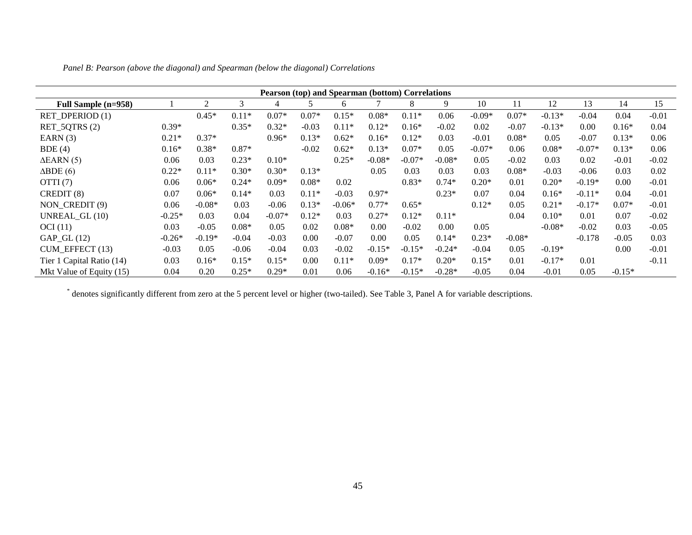|                           |          |          |         | Pearson (top) and Spearman (bottom) Correlations |         |          |          |          |          |          |          |          |          |          |         |
|---------------------------|----------|----------|---------|--------------------------------------------------|---------|----------|----------|----------|----------|----------|----------|----------|----------|----------|---------|
| Full Sample (n=958)       |          | 2        | 3       | 4                                                | 5.      | 6        |          | 8        | 9        | 10       | 11       | 12       | 13       | 14       | 15      |
| RET_DPERIOD(1)            |          | $0.45*$  | $0.11*$ | $0.07*$                                          | $0.07*$ | $0.15*$  | $0.08*$  | $0.11*$  | 0.06     | $-0.09*$ | $0.07*$  | $-0.13*$ | $-0.04$  | 0.04     | $-0.01$ |
| RET_5QTRS(2)              | $0.39*$  |          | $0.35*$ | $0.32*$                                          | $-0.03$ | $0.11*$  | $0.12*$  | $0.16*$  | $-0.02$  | 0.02     | $-0.07$  | $-0.13*$ | 0.00     | $0.16*$  | 0.04    |
| EARN $(3)$                | $0.21*$  | $0.37*$  |         | $0.96*$                                          | $0.13*$ | $0.62*$  | $0.16*$  | $0.12*$  | 0.03     | $-0.01$  | $0.08*$  | 0.05     | $-0.07$  | $0.13*$  | 0.06    |
| BDE(4)                    | $0.16*$  | $0.38*$  | $0.87*$ |                                                  | $-0.02$ | $0.62*$  | $0.13*$  | $0.07*$  | 0.05     | $-0.07*$ | 0.06     | $0.08*$  | $-0.07*$ | $0.13*$  | 0.06    |
| $\triangle$ EARN $(5)$    | 0.06     | 0.03     | $0.23*$ | $0.10*$                                          |         | $0.25*$  | $-0.08*$ | $-0.07*$ | $-0.08*$ | 0.05     | $-0.02$  | 0.03     | 0.02     | $-0.01$  | $-0.02$ |
| $\triangle BDE(6)$        | $0.22*$  | $0.11*$  | $0.30*$ | $0.30*$                                          | $0.13*$ |          | 0.05     | 0.03     | 0.03     | 0.03     | $0.08*$  | $-0.03$  | $-0.06$  | 0.03     | 0.02    |
| OTTI $(7)$                | 0.06     | $0.06*$  | $0.24*$ | $0.09*$                                          | $0.08*$ | 0.02     |          | $0.83*$  | $0.74*$  | $0.20*$  | 0.01     | $0.20*$  | $-0.19*$ | 0.00     | $-0.01$ |
| CREDIT (8)                | 0.07     | $0.06*$  | $0.14*$ | 0.03                                             | $0.11*$ | $-0.03$  | $0.97*$  |          | $0.23*$  | 0.07     | 0.04     | $0.16*$  | $-0.11*$ | 0.04     | $-0.01$ |
| NON CREDIT (9)            | 0.06     | $-0.08*$ | 0.03    | $-0.06$                                          | $0.13*$ | $-0.06*$ | $0.77*$  | $0.65*$  |          | $0.12*$  | 0.05     | $0.21*$  | $-0.17*$ | $0.07*$  | $-0.01$ |
| UNREAL_GL (10)            | $-0.25*$ | 0.03     | 0.04    | $-0.07*$                                         | $0.12*$ | 0.03     | $0.27*$  | $0.12*$  | $0.11*$  |          | 0.04     | $0.10*$  | 0.01     | 0.07     | $-0.02$ |
| OCI(11)                   | 0.03     | $-0.05$  | $0.08*$ | 0.05                                             | 0.02    | $0.08*$  | 0.00     | $-0.02$  | 0.00     | 0.05     |          | $-0.08*$ | $-0.02$  | 0.03     | $-0.05$ |
| $GAP_GL(12)$              | $-0.26*$ | $-0.19*$ | $-0.04$ | $-0.03$                                          | 0.00    | $-0.07$  | 0.00     | 0.05     | $0.14*$  | $0.23*$  | $-0.08*$ |          | $-0.178$ | $-0.05$  | 0.03    |
| $CUM$ EFFECT $(13)$       | $-0.03$  | 0.05     | $-0.06$ | $-0.04$                                          | 0.03    | $-0.02$  | $-0.15*$ | $-0.15*$ | $-0.24*$ | $-0.04$  | 0.05     | $-0.19*$ |          | 0.00     | $-0.01$ |
| Tier 1 Capital Ratio (14) | 0.03     | $0.16*$  | $0.15*$ | $0.15*$                                          | 0.00    | $0.11*$  | $0.09*$  | $0.17*$  | $0.20*$  | $0.15*$  | 0.01     | $-0.17*$ | 0.01     |          | $-0.11$ |
| Mkt Value of Equity (15)  | 0.04     | 0.20     | $0.25*$ | $0.29*$                                          | 0.01    | 0.06     | $-0.16*$ | $-0.15*$ | $-0.28*$ | $-0.05$  | 0.04     | $-0.01$  | 0.05     | $-0.15*$ |         |

*Panel B: Pearson (above the diagonal) and Spearman (below the diagonal) Correlations*

\* denotes significantly different from zero at the 5 percent level or higher (two-tailed). See Table 3, Panel A for variable descriptions.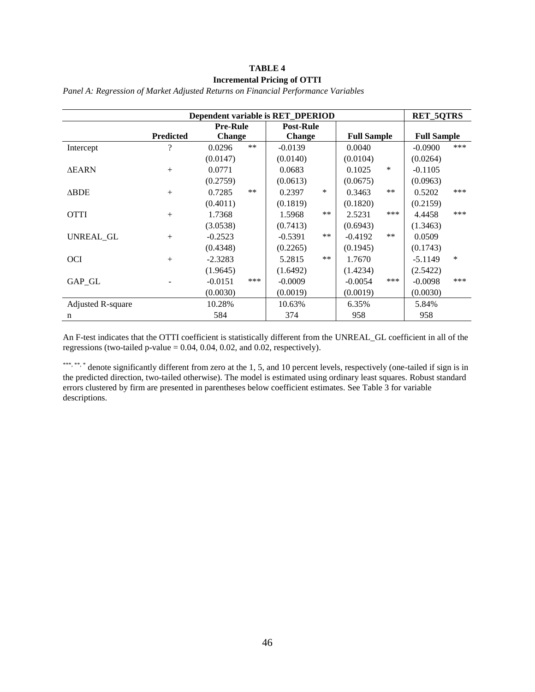# **TABLE 4 Incremental Pricing of OTTI**

|                   |                  |                  | Dependent variable is RET_DPERIOD |                    | <b>RET_5QTRS</b>    |  |
|-------------------|------------------|------------------|-----------------------------------|--------------------|---------------------|--|
|                   |                  | <b>Pre-Rule</b>  | <b>Post-Rule</b>                  |                    |                     |  |
|                   | <b>Predicted</b> | <b>Change</b>    | Change                            | <b>Full Sample</b> | <b>Full Sample</b>  |  |
| Intercept         | ?                | $***$<br>0.0296  | $-0.0139$                         | 0.0040             | ***<br>$-0.0900$    |  |
|                   |                  | (0.0147)         | (0.0140)                          | (0.0104)           | (0.0264)            |  |
| <b>AEARN</b>      | $+$              | 0.0771           | 0.0683                            | $\ast$<br>0.1025   | $-0.1105$           |  |
|                   |                  | (0.2759)         | (0.0613)                          | (0.0675)           | (0.0963)            |  |
| $\triangle BDE$   | $+$              | $***$<br>0.7285  | *<br>0.2397                       | **<br>0.3463       | ***<br>0.5202       |  |
|                   |                  | (0.4011)         | (0.1819)                          | (0.1820)           | (0.2159)            |  |
| <b>OTTI</b>       | $+$              | 1.7368           | $***$<br>1.5968                   | ***<br>2.5231      | ***<br>4.4458       |  |
|                   |                  | (3.0538)         | (0.7413)                          | (0.6943)           | (1.3463)            |  |
| UNREAL GL         | $+$              | $-0.2523$        | $***$<br>$-0.5391$                | $**$<br>$-0.4192$  | 0.0509              |  |
|                   |                  | (0.4348)         | (0.2265)                          | (0.1945)           | (0.1743)            |  |
| <b>OCI</b>        | $+$              | $-2.3283$        | $***$<br>5.2815                   | 1.7670             | $\ast$<br>$-5.1149$ |  |
|                   |                  | (1.9645)         | (1.6492)                          | (1.4234)           | (2.5422)            |  |
| GAP_GL            |                  | ***<br>$-0.0151$ | $-0.0009$                         | ***<br>$-0.0054$   | ***<br>$-0.0098$    |  |
|                   |                  | (0.0030)         | (0.0019)                          | (0.0019)           | (0.0030)            |  |
| Adjusted R-square |                  | 10.28%           | 10.63%                            | 6.35%              | 5.84%               |  |
| n                 |                  | 584              | 374                               | 958                | 958                 |  |

*Panel A: Regression of Market Adjusted Returns on Financial Performance Variables* 

An F-test indicates that the OTTI coefficient is statistically different from the UNREAL\_GL coefficient in all of the regressions (two-tailed p-value =  $0.04$ ,  $0.04$ ,  $0.02$ , and  $0.02$ , respectively).

\*\*\*, \*\*, \*\* denote significantly different from zero at the 1, 5, and 10 percent levels, respectively (one-tailed if sign is in the predicted direction, two-tailed otherwise). The model is estimated using ordinary least squares. Robust standard errors clustered by firm are presented in parentheses below coefficient estimates. See Table 3 for variable descriptions.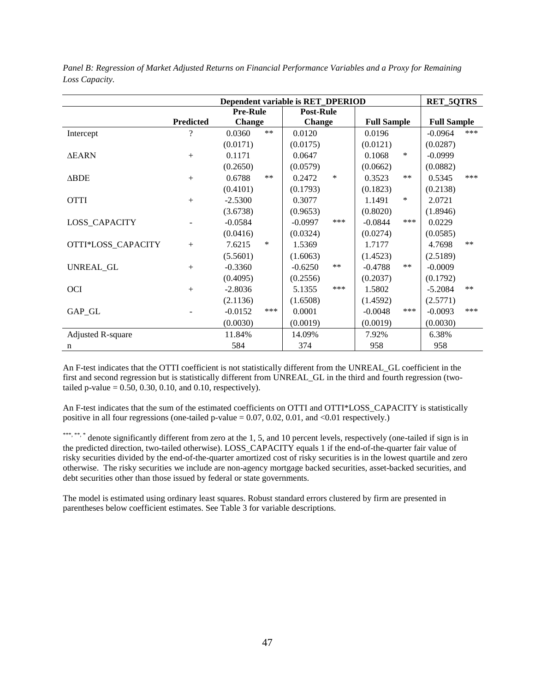|                          |                          |                 |        | Dependent variable is RET_DPERIOD |       |                    |       | <b>RET_5QTRS</b>   |       |
|--------------------------|--------------------------|-----------------|--------|-----------------------------------|-------|--------------------|-------|--------------------|-------|
|                          |                          | <b>Pre-Rule</b> |        | <b>Post-Rule</b>                  |       |                    |       |                    |       |
|                          | <b>Predicted</b>         | <b>Change</b>   |        | <b>Change</b>                     |       | <b>Full Sample</b> |       | <b>Full Sample</b> |       |
| Intercept                | $\overline{\mathcal{L}}$ | 0.0360          | $**$   | 0.0120                            |       | 0.0196             |       | $-0.0964$          | ***   |
|                          |                          | (0.0171)        |        | (0.0175)                          |       | (0.0121)           |       | (0.0287)           |       |
| <b>AEARN</b>             | $+$                      | 0.1171          |        | 0.0647                            |       | 0.1068             | *     | $-0.0999$          |       |
|                          |                          | (0.2650)        |        | (0.0579)                          |       | (0.0662)           |       | (0.0882)           |       |
| $\triangle BDE$          | $+$                      | 0.6788          | $***$  | 0.2472                            | ∗     | 0.3523             | $**$  | 0.5345             | ***   |
|                          |                          | (0.4101)        |        | (0.1793)                          |       | (0.1823)           |       | (0.2138)           |       |
| <b>OTTI</b>              | $+$                      | $-2.5300$       |        | 0.3077                            |       | 1.1491             | *     | 2.0721             |       |
|                          |                          | (3.6738)        |        | (0.9653)                          |       | (0.8020)           |       | (1.8946)           |       |
| LOSS_CAPACITY            |                          | $-0.0584$       |        | $-0.0997$                         | ***   | $-0.0844$          | ***   | 0.0229             |       |
|                          |                          | (0.0416)        |        | (0.0324)                          |       | (0.0274)           |       | (0.0585)           |       |
| OTTI*LOSS_CAPACITY       | $+$                      | 7.6215          | $\ast$ | 1.5369                            |       | 1.7177             |       | 4.7698             | $**$  |
|                          |                          | (5.5601)        |        | (1.6063)                          |       | (1.4523)           |       | (2.5189)           |       |
| UNREAL GL                | $+$                      | $-0.3360$       |        | $-0.6250$                         | $***$ | $-0.4788$          | $***$ | $-0.0009$          |       |
|                          |                          | (0.4095)        |        | (0.2556)                          |       | (0.2037)           |       | (0.1792)           |       |
| <b>OCI</b>               | $+$                      | $-2.8036$       |        | 5.1355                            | ***   | 1.5802             |       | $-5.2084$          | $***$ |
|                          |                          | (2.1136)        |        | (1.6508)                          |       | (1.4592)           |       | (2.5771)           |       |
| GAP_GL                   |                          | $-0.0152$       | ***    | 0.0001                            |       | $-0.0048$          | ***   | $-0.0093$          | ***   |
|                          |                          | (0.0030)        |        | (0.0019)                          |       | (0.0019)           |       | (0.0030)           |       |
| <b>Adjusted R-square</b> |                          | 11.84%          |        | 14.09%                            |       | 7.92%              |       | 6.38%              |       |
| n                        |                          | 584             |        | 374                               |       | 958                |       | 958                |       |

*Panel B: Regression of Market Adjusted Returns on Financial Performance Variables and a Proxy for Remaining Loss Capacity.* 

An F-test indicates that the OTTI coefficient is not statistically different from the UNREAL\_GL coefficient in the first and second regression but is statistically different from UNREAL\_GL in the third and fourth regression (twotailed p-value  $= 0.50, 0.30, 0.10,$  and 0.10, respectively).

An F-test indicates that the sum of the estimated coefficients on OTTI and OTTI\*LOSS\_CAPACITY is statistically positive in all four regressions (one-tailed p-value = 0.07, 0.02, 0.01, and <0.01 respectively.)

\*\*\*, \*\*, \*\* denote significantly different from zero at the 1, 5, and 10 percent levels, respectively (one-tailed if sign is in the predicted direction, two-tailed otherwise). LOSS\_CAPACITY equals 1 if the end-of-the-quarter fair value of risky securities divided by the end-of-the-quarter amortized cost of risky securities is in the lowest quartile and zero otherwise. The risky securities we include are non-agency mortgage backed securities, asset-backed securities, and debt securities other than those issued by federal or state governments.

The model is estimated using ordinary least squares. Robust standard errors clustered by firm are presented in parentheses below coefficient estimates. See Table 3 for variable descriptions.